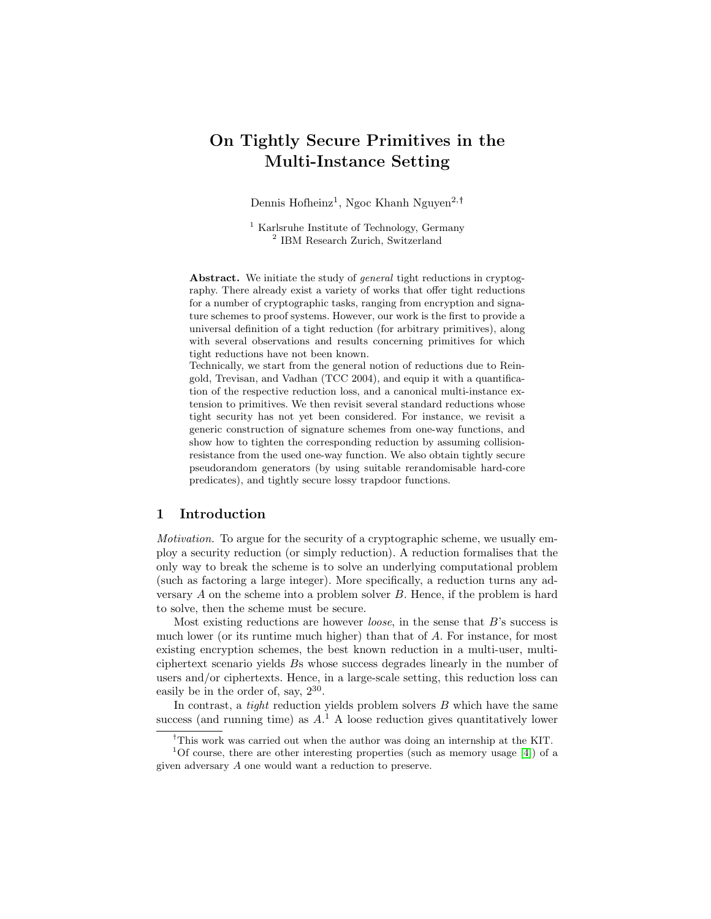# On Tightly Secure Primitives in the Multi-Instance Setting

Dennis Hofheinz<sup>1</sup>, Ngoc Khanh Nguyen<sup>2,†</sup>

<sup>1</sup> Karlsruhe Institute of Technology, Germany 2 IBM Research Zurich, Switzerland

Abstract. We initiate the study of general tight reductions in cryptography. There already exist a variety of works that offer tight reductions for a number of cryptographic tasks, ranging from encryption and signature schemes to proof systems. However, our work is the first to provide a universal definition of a tight reduction (for arbitrary primitives), along with several observations and results concerning primitives for which tight reductions have not been known.

Technically, we start from the general notion of reductions due to Reingold, Trevisan, and Vadhan (TCC 2004), and equip it with a quantification of the respective reduction loss, and a canonical multi-instance extension to primitives. We then revisit several standard reductions whose tight security has not yet been considered. For instance, we revisit a generic construction of signature schemes from one-way functions, and show how to tighten the corresponding reduction by assuming collisionresistance from the used one-way function. We also obtain tightly secure pseudorandom generators (by using suitable rerandomisable hard-core predicates), and tightly secure lossy trapdoor functions.

# 1 Introduction

Motivation. To argue for the security of a cryptographic scheme, we usually employ a security reduction (or simply reduction). A reduction formalises that the only way to break the scheme is to solve an underlying computational problem (such as factoring a large integer). More specifically, a reduction turns any adversary A on the scheme into a problem solver B. Hence, if the problem is hard to solve, then the scheme must be secure.

Most existing reductions are however *loose*, in the sense that  $B$ 's success is much lower (or its runtime much higher) than that of A. For instance, for most existing encryption schemes, the best known reduction in a multi-user, multiciphertext scenario yields Bs whose success degrades linearly in the number of users and/or ciphertexts. Hence, in a large-scale setting, this reduction loss can easily be in the order of, say,  $2^{30}$ .

In contrast, a *tight* reduction yields problem solvers  $B$  which have the same success (and running time) as  $A$ <sup>1</sup>. A loose reduction gives quantitatively lower

<sup>&</sup>lt;sup>†</sup>This work was carried out when the author was doing an internship at the KIT.

<sup>&</sup>lt;sup>1</sup>Of course, there are other interesting properties (such as memory usage  $[4]$ ) of a given adversary A one would want a reduction to preserve.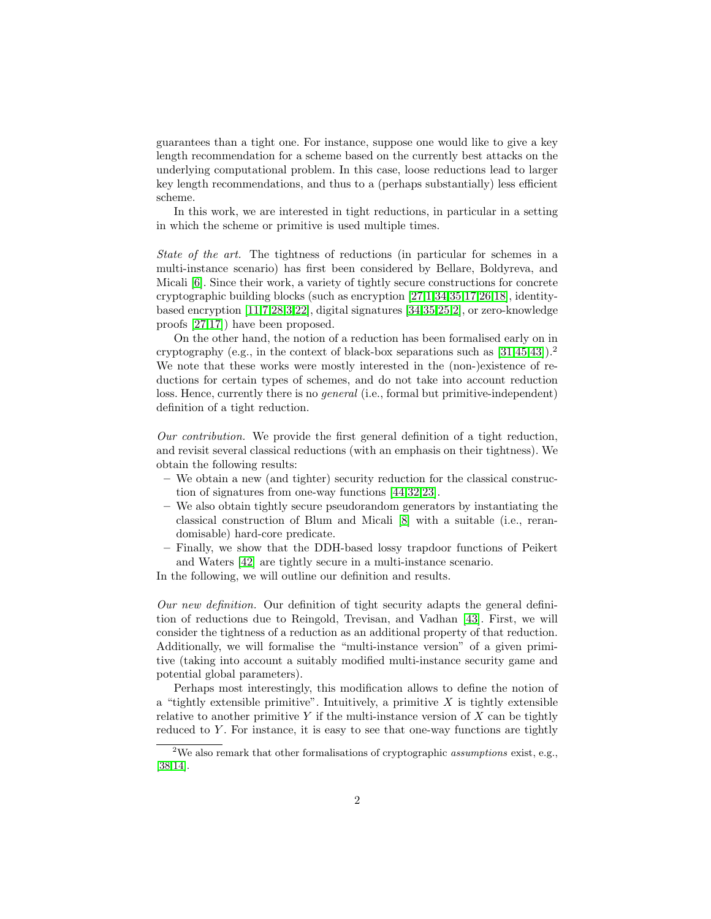guarantees than a tight one. For instance, suppose one would like to give a key length recommendation for a scheme based on the currently best attacks on the underlying computational problem. In this case, loose reductions lead to larger key length recommendations, and thus to a (perhaps substantially) less efficient scheme.

In this work, we are interested in tight reductions, in particular in a setting in which the scheme or primitive is used multiple times.

State of the art. The tightness of reductions (in particular for schemes in a multi-instance scenario) has first been considered by Bellare, Boldyreva, and Micali [\[6\]](#page-27-1). Since their work, a variety of tightly secure constructions for concrete cryptographic building blocks (such as encryption  $[27,1,34,35,17,26,18]$  $[27,1,34,35,17,26,18]$  $[27,1,34,35,17,26,18]$  $[27,1,34,35,17,26,18]$  $[27,1,34,35,17,26,18]$  $[27,1,34,35,17,26,18]$  $[27,1,34,35,17,26,18]$ , identitybased encryption [\[11](#page-27-3)[,7,](#page-27-4)[28,](#page-28-4)[3,](#page-27-5)[22\]](#page-28-5), digital signatures [\[34,](#page-29-0)[35,](#page-29-1)[25,](#page-28-6)[2\]](#page-27-6), or zero-knowledge proofs [\[27](#page-28-0)[,17\]](#page-28-1)) have been proposed.

On the other hand, the notion of a reduction has been formalised early on in cryptography (e.g., in the context of black-box separations such as  $[31,45,43]$  $[31,45,43]$  $[31,45,43]$ ).<sup>2</sup> We note that these works were mostly interested in the (non-)existence of reductions for certain types of schemes, and do not take into account reduction loss. Hence, currently there is no *general* (i.e., formal but primitive-independent) definition of a tight reduction.

Our contribution. We provide the first general definition of a tight reduction, and revisit several classical reductions (with an emphasis on their tightness). We obtain the following results:

- We obtain a new (and tighter) security reduction for the classical construction of signatures from one-way functions [\[44](#page-29-5)[,32,](#page-29-6)[23\]](#page-28-7).
- We also obtain tightly secure pseudorandom generators by instantiating the classical construction of Blum and Micali [\[8\]](#page-27-7) with a suitable (i.e., rerandomisable) hard-core predicate.
- Finally, we show that the DDH-based lossy trapdoor functions of Peikert and Waters [\[42\]](#page-29-7) are tightly secure in a multi-instance scenario.

In the following, we will outline our definition and results.

Our new definition. Our definition of tight security adapts the general definition of reductions due to Reingold, Trevisan, and Vadhan [\[43\]](#page-29-4). First, we will consider the tightness of a reduction as an additional property of that reduction. Additionally, we will formalise the "multi-instance version" of a given primitive (taking into account a suitably modified multi-instance security game and potential global parameters).

Perhaps most interestingly, this modification allows to define the notion of a "tightly extensible primitive". Intuitively, a primitive  $X$  is tightly extensible relative to another primitive Y if the multi-instance version of  $X$  can be tightly reduced to Y. For instance, it is easy to see that one-way functions are tightly

<sup>&</sup>lt;sup>2</sup>We also remark that other formalisations of cryptographic *assumptions* exist, e.g., [\[38,](#page-29-8)[14\]](#page-27-8).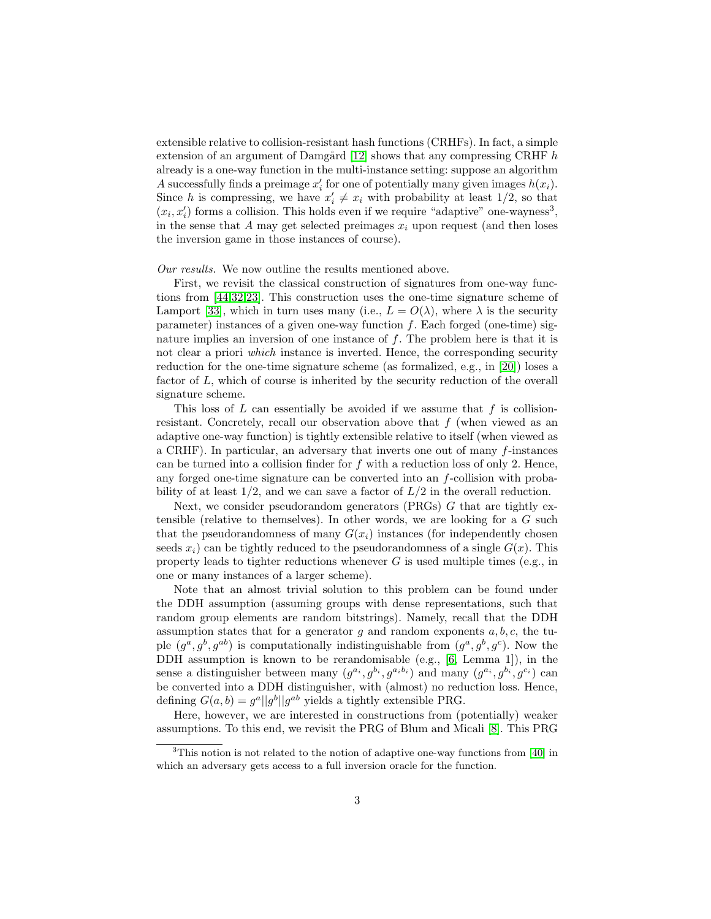extensible relative to collision-resistant hash functions (CRHFs). In fact, a simple extension of an argument of Damgård  $[12]$  shows that any compressing CRHF h already is a one-way function in the multi-instance setting: suppose an algorithm A successfully finds a preimage  $x_i'$  for one of potentially many given images  $h(x_i)$ . Since h is compressing, we have  $x'_i \neq x_i$  with probability at least 1/2, so that  $(x_i, x'_i)$  forms a collision. This holds even if we require "adaptive" one-wayness<sup>3</sup>, in the sense that A may get selected preimages  $x_i$  upon request (and then loses the inversion game in those instances of course).

Our results. We now outline the results mentioned above.

First, we revisit the classical construction of signatures from one-way functions from [\[44](#page-29-5)[,32](#page-29-6)[,23\]](#page-28-7). This construction uses the one-time signature scheme of Lamport [\[33\]](#page-29-9), which in turn uses many (i.e.,  $L = O(\lambda)$ , where  $\lambda$  is the security parameter) instances of a given one-way function  $f$ . Each forged (one-time) signature implies an inversion of one instance of  $f$ . The problem here is that it is not clear a priori *which* instance is inverted. Hence, the corresponding security reduction for the one-time signature scheme (as formalized, e.g., in [\[20\]](#page-28-8)) loses a factor of L, which of course is inherited by the security reduction of the overall signature scheme.

This loss of  $L$  can essentially be avoided if we assume that  $f$  is collisionresistant. Concretely, recall our observation above that f (when viewed as an adaptive one-way function) is tightly extensible relative to itself (when viewed as a CRHF). In particular, an adversary that inverts one out of many f-instances can be turned into a collision finder for  $f$  with a reduction loss of only 2. Hence, any forged one-time signature can be converted into an  $f$ -collision with probability of at least  $1/2$ , and we can save a factor of  $L/2$  in the overall reduction.

Next, we consider pseudorandom generators (PRGs)  $G$  that are tightly extensible (relative to themselves). In other words, we are looking for a G such that the pseudorandomness of many  $G(x_i)$  instances (for independently chosen seeds  $x_i$ ) can be tightly reduced to the pseudorandomness of a single  $G(x)$ . This property leads to tighter reductions whenever  $G$  is used multiple times (e.g., in one or many instances of a larger scheme).

Note that an almost trivial solution to this problem can be found under the DDH assumption (assuming groups with dense representations, such that random group elements are random bitstrings). Namely, recall that the DDH assumption states that for a generator  $g$  and random exponents  $a, b, c$ , the tuple  $(g^a, g^b, g^{ab})$  is computationally indistinguishable from  $(g^a, g^b, g^c)$ . Now the DDH assumption is known to be rerandomisable (e.g., [\[6,](#page-27-1) Lemma 1]), in the sense a distinguisher between many  $(g^{a_i}, g^{b_i}, g^{a_i b_i})$  and many  $(g^{a_i}, g^{b_i}, g^{c_i})$  can be converted into a DDH distinguisher, with (almost) no reduction loss. Hence, defining  $G(a, b) = g^a ||g^b|| g^{ab}$  yields a tightly extensible PRG.

Here, however, we are interested in constructions from (potentially) weaker assumptions. To this end, we revisit the PRG of Blum and Micali [\[8\]](#page-27-7). This PRG

<sup>&</sup>lt;sup>3</sup>This notion is not related to the notion of adaptive one-way functions from [\[40\]](#page-29-10) in which an adversary gets access to a full inversion oracle for the function.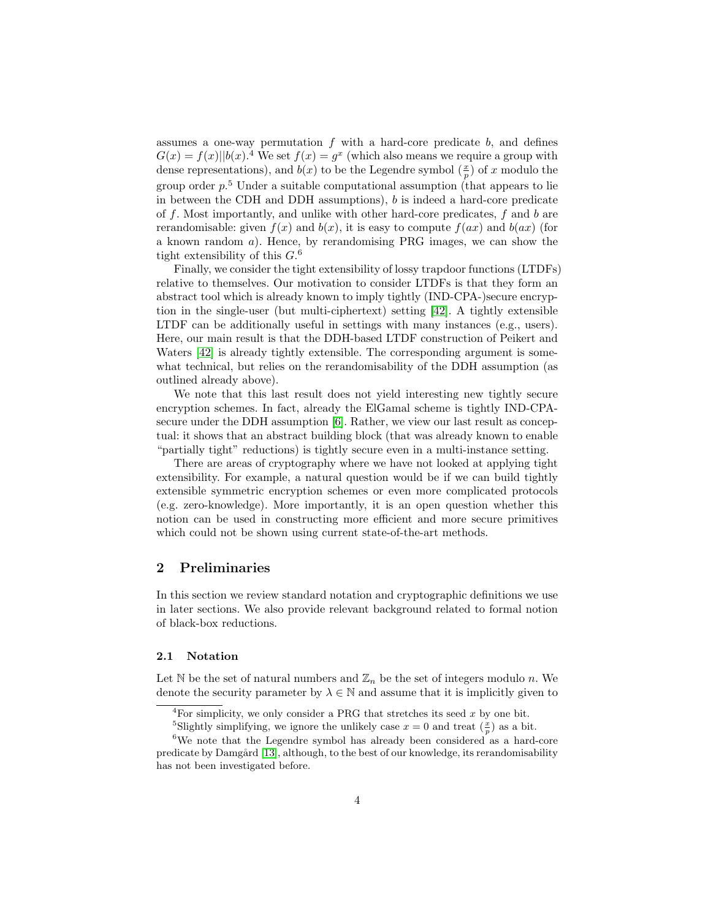assumes a one-way permutation  $f$  with a hard-core predicate  $b$ , and defines  $G(x) = f(x)||b(x)$ .<sup>4</sup> We set  $f(x) = g^x$  (which also means we require a group with dense representations), and  $b(x)$  to be the Legendre symbol  $(\frac{x}{p})$  of x modulo the group order p. <sup>5</sup> Under a suitable computational assumption (that appears to lie in between the CDH and DDH assumptions),  $b$  is indeed a hard-core predicate of f. Most importantly, and unlike with other hard-core predicates, f and b are rerandomisable: given  $f(x)$  and  $b(x)$ , it is easy to compute  $f(ax)$  and  $b(ax)$  (for a known random a). Hence, by rerandomising PRG images, we can show the tight extensibility of this  $G<sup>6</sup>$ 

Finally, we consider the tight extensibility of lossy trapdoor functions (LTDFs) relative to themselves. Our motivation to consider LTDFs is that they form an abstract tool which is already known to imply tightly (IND-CPA-)secure encryption in the single-user (but multi-ciphertext) setting [\[42\]](#page-29-7). A tightly extensible LTDF can be additionally useful in settings with many instances (e.g., users). Here, our main result is that the DDH-based LTDF construction of Peikert and Waters [\[42\]](#page-29-7) is already tightly extensible. The corresponding argument is somewhat technical, but relies on the rerandomisability of the DDH assumption (as outlined already above).

We note that this last result does not yield interesting new tightly secure encryption schemes. In fact, already the ElGamal scheme is tightly IND-CPAsecure under the DDH assumption [\[6\]](#page-27-1). Rather, we view our last result as conceptual: it shows that an abstract building block (that was already known to enable "partially tight" reductions) is tightly secure even in a multi-instance setting.

There are areas of cryptography where we have not looked at applying tight extensibility. For example, a natural question would be if we can build tightly extensible symmetric encryption schemes or even more complicated protocols (e.g. zero-knowledge). More importantly, it is an open question whether this notion can be used in constructing more efficient and more secure primitives which could not be shown using current state-of-the-art methods.

# 2 Preliminaries

In this section we review standard notation and cryptographic definitions we use in later sections. We also provide relevant background related to formal notion of black-box reductions.

## 2.1 Notation

Let N be the set of natural numbers and  $\mathbb{Z}_n$  be the set of integers modulo n. We denote the security parameter by  $\lambda \in \mathbb{N}$  and assume that it is implicitly given to

<sup>&</sup>lt;sup>4</sup>For simplicity, we only consider a PRG that stretches its seed  $x$  by one bit.

<sup>&</sup>lt;sup>5</sup>Slightly simplifying, we ignore the unlikely case  $x = 0$  and treat  $(\frac{x}{p})$  as a bit.

<sup>&</sup>lt;sup>6</sup>We note that the Legendre symbol has already been considered as a hard-core predicate by Damgård [\[13\]](#page-27-10), although, to the best of our knowledge, its rerandomisability has not been investigated before.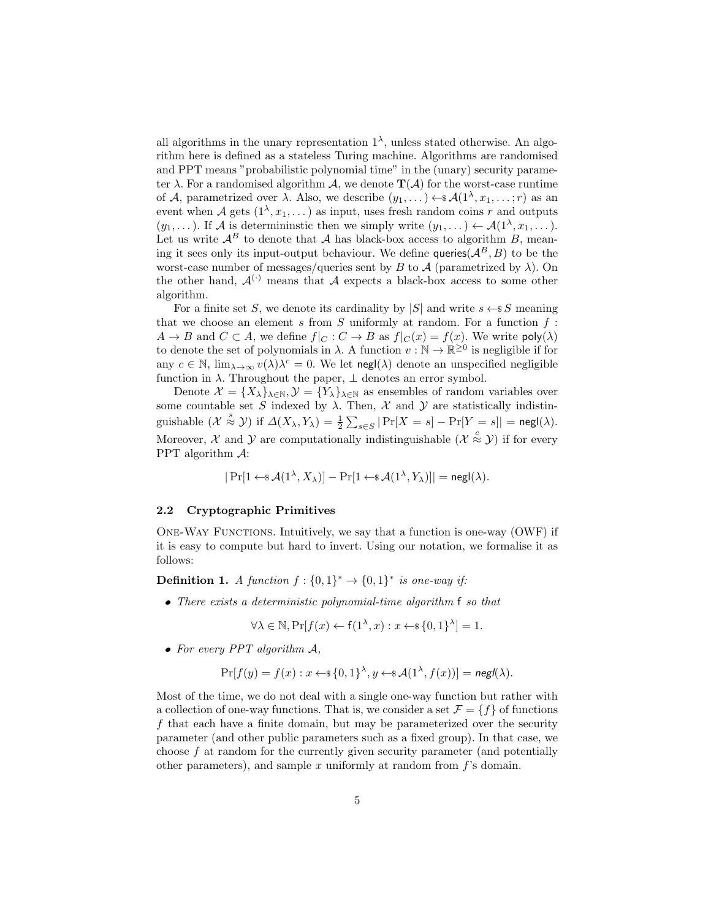all algorithms in the unary representation  $1^{\lambda}$ , unless stated otherwise. An algorithm here is defined as a stateless Turing machine. Algorithms are randomised and PPT means "probabilistic polynomial time" in the (unary) security parameter  $\lambda$ . For a randomised algorithm  $\mathcal{A}$ , we denote  $\mathbf{T}(\mathcal{A})$  for the worst-case runtime of A, parametrized over  $\lambda$ . Also, we describe  $(y_1, \dots) \leftarrow \mathcal{A}(1^{\lambda}, x_1, \dots; r)$  as an event when A gets  $(1^{\lambda}, x_1, \dots)$  as input, uses fresh random coins r and outputs  $(y_1, \ldots)$ . If A is determininatic then we simply write  $(y_1, \ldots) \leftarrow \mathcal{A}(1^{\lambda}, x_1, \ldots)$ . Let us write  $A^B$  to denote that A has black-box access to algorithm B, meaning it sees only its input-output behaviour. We define queries  $(A^B, B)$  to be the worst-case number of messages/queries sent by B to A (parametrized by  $\lambda$ ). On the other hand,  $\mathcal{A}^{(\cdot)}$  means that  $\mathcal A$  expects a black-box access to some other algorithm.

For a finite set S, we denote its cardinality by  $|S|$  and write  $s \leftarrow s S$  meaning that we choose an element s from  $S$  uniformly at random. For a function  $f$ :  $A \to B$  and  $C \subset A$ , we define  $f|_C : C \to B$  as  $f|_C(x) = f(x)$ . We write  $\text{poly}(\lambda)$ to denote the set of polynomials in  $\lambda$ . A function  $v : \mathbb{N} \to \mathbb{R}^{\geq 0}$  is negligible if for any  $c \in \mathbb{N}$ ,  $\lim_{\lambda \to \infty} v(\lambda) \lambda^c = 0$ . We let negl $(\lambda)$  denote an unspecified negligible function in  $\lambda$ . Throughout the paper,  $\bot$  denotes an error symbol.

Denote  $\mathcal{X} = \{X_{\lambda}\}_{\lambda \in \mathbb{N}}, \mathcal{Y} = \{Y_{\lambda}\}_{\lambda \in \mathbb{N}}$  as ensembles of random variables over some countable set S indexed by  $\lambda$ . Then,  $\mathcal X$  and  $\mathcal Y$  are statistically indistinguishable  $(\mathcal{X} \stackrel{s}{\approx} \mathcal{Y})$  if  $\Delta(X_{\lambda}, Y_{\lambda}) = \frac{1}{2} \sum_{s \in S} |\Pr[X = s] - \Pr[Y = s]| = {\sf negl}(\lambda)$ . Moreover,  $\mathcal X$  and  $\mathcal Y$  are computationally indistinguishable  $(\mathcal X \stackrel{c}{\approx} \mathcal Y)$  if for every PPT algorithm A:

$$
|\Pr[1 \leftarrow \mathcal{A}(1^{\lambda}, X_{\lambda})] - \Pr[1 \leftarrow \mathcal{A}(1^{\lambda}, Y_{\lambda})]| = \mathsf{negl}(\lambda).
$$

## 2.2 Cryptographic Primitives

One-Way Functions. Intuitively, we say that a function is one-way (OWF) if it is easy to compute but hard to invert. Using our notation, we formalise it as follows:

**Definition 1.** A function  $f: \{0,1\}^* \to \{0,1\}^*$  is one-way if:

There exists a deterministic polynomial-time algorithm f so that

$$
\forall \lambda \in \mathbb{N}, \Pr[f(x) \leftarrow f(1^{\lambda}, x) : x \leftarrow \{0, 1\}^{\lambda}] = 1.
$$

• For every  $PPT$  algorithm  $A$ ,

$$
\Pr[f(y) = f(x) : x \leftarrow \{0, 1\}^{\lambda}, y \leftarrow \{0, 1\}^{\lambda}, f(x)) = \text{negl}(\lambda).
$$

Most of the time, we do not deal with a single one-way function but rather with a collection of one-way functions. That is, we consider a set  $\mathcal{F} = \{f\}$  of functions f that each have a finite domain, but may be parameterized over the security parameter (and other public parameters such as a fixed group). In that case, we choose  $f$  at random for the currently given security parameter (and potentially other parameters), and sample  $x$  uniformly at random from  $f$ 's domain.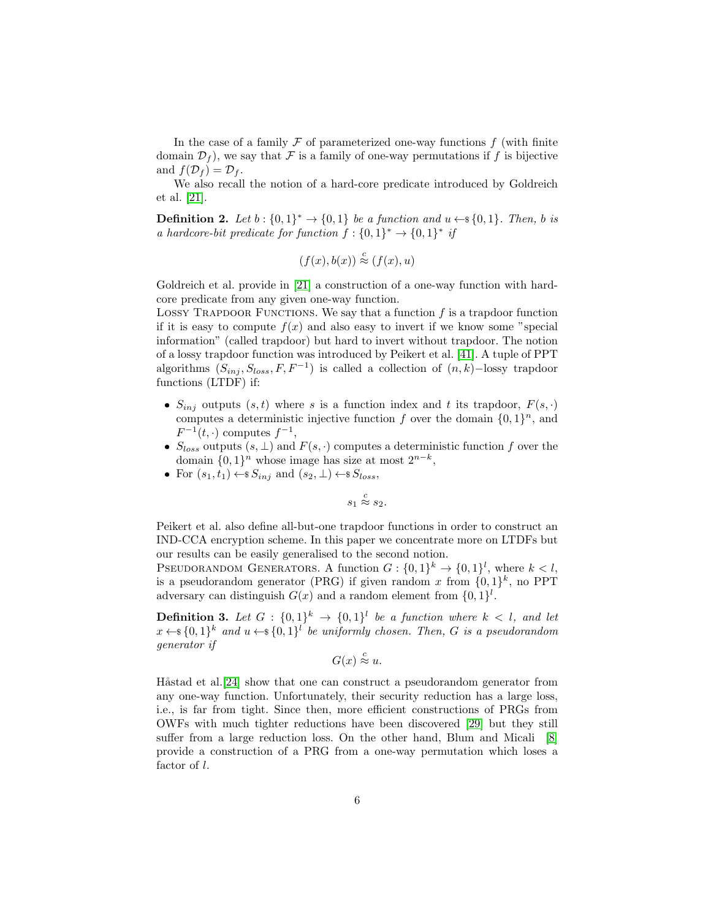In the case of a family  $\mathcal F$  of parameterized one-way functions  $f$  (with finite domain  $\mathcal{D}_f$ , we say that F is a family of one-way permutations if f is bijective and  $f(\mathcal{D}_f) = \mathcal{D}_f$ .

We also recall the notion of a hard-core predicate introduced by Goldreich et al. [\[21\]](#page-28-9).

**Definition 2.** Let  $b: \{0,1\}^* \to \{0,1\}$  be a function and  $u \leftarrow \{0,1\}$ . Then, b is a hardcore-bit predicate for function  $f: \{0,1\}^* \to \{0,1\}^*$  if

$$
(f(x), b(x)) \stackrel{c}{\approx} (f(x), u)
$$

Goldreich et al. provide in [\[21\]](#page-28-9) a construction of a one-way function with hardcore predicate from any given one-way function.

LOSSY TRAPDOOR FUNCTIONS. We say that a function  $f$  is a trapdoor function if it is easy to compute  $f(x)$  and also easy to invert if we know some "special" information" (called trapdoor) but hard to invert without trapdoor. The notion of a lossy trapdoor function was introduced by Peikert et al. [\[41\]](#page-29-11). A tuple of PPT algorithms  $(S_{inj}, S_{loss}, F, F^{-1})$  is called a collection of  $(n, k)$ -lossy trapdoor functions (LTDF) if:

- $S_{inj}$  outputs  $(s, t)$  where s is a function index and t its trapdoor,  $F(s, \cdot)$ computes a deterministic injective function f over the domain  $\{0,1\}^n$ , and  $F^{-1}(t, \cdot)$  computes  $f^{-1}$ ,
- $\bullet$   $S_{loss}$  outputs  $(s, \perp)$  and  $F(s, \cdot)$  computes a deterministic function f over the domain  $\{0,1\}^n$  whose image has size at most  $2^{n-k}$ ,
- For  $(s_1, t_1) \leftarrow s S_{inj}$  and  $(s_2, \perp) \leftarrow s S_{loss}$ ,

 $s_1 \stackrel{c}{\approx} s_2.$ 

Peikert et al. also define all-but-one trapdoor functions in order to construct an IND-CCA encryption scheme. In this paper we concentrate more on LTDFs but our results can be easily generalised to the second notion.

PSEUDORANDOM GENERATORS. A function  $G: \{0,1\}^k \to \{0,1\}^l$ , where  $k < l$ , is a pseudorandom generator (PRG) if given random x from  $\{0,1\}^k$ , no PPT adversary can distinguish  $G(x)$  and a random element from  $\{0,1\}^l$ .

**Definition 3.** Let  $G: \{0,1\}^k \rightarrow \{0,1\}^l$  be a function where  $k < l$ , and let  $x \leftarrow \{0,1\}^k$  and  $u \leftarrow \{0,1\}^l$  be uniformly chosen. Then, G is a pseudorandom generator if

$$
G(x) \stackrel{c}{\approx} u.
$$

Håstad et al.<sup>[\[24\]](#page-28-10)</sup> show that one can construct a pseudorandom generator from any one-way function. Unfortunately, their security reduction has a large loss, i.e., is far from tight. Since then, more efficient constructions of PRGs from OWFs with much tighter reductions have been discovered [\[29\]](#page-28-11) but they still suffer from a large reduction loss. On the other hand, Blum and Micali [\[8\]](#page-27-7) provide a construction of a PRG from a one-way permutation which loses a factor of l.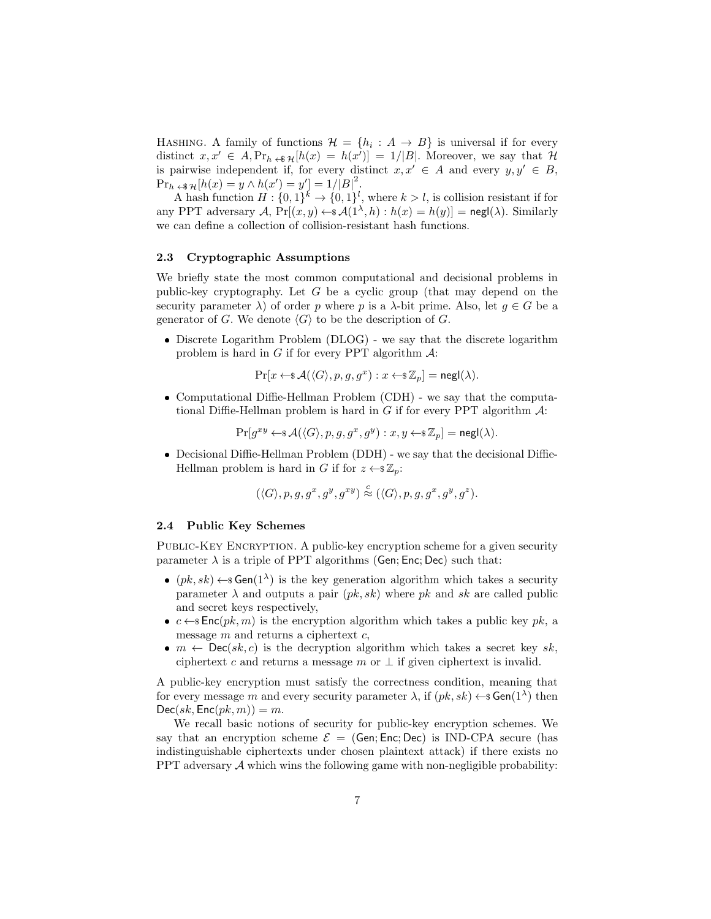HASHING. A family of functions  $\mathcal{H} = \{h_i : A \to B\}$  is universal if for every distinct  $x, x' \in A$ ,  $Pr_{h \to \mathcal{H}}[h(x) = h(x')] = 1/|B|$ . Moreover, we say that  $\mathcal{H}$ is pairwise independent if, for every distinct  $x, x' \in A$  and every  $y, y' \in B$ ,  $\Pr_{h \to \mathcal{H}}[h(x) = y \wedge h(x') = y'] = 1/|B|^2.$ 

A hash function  $H: \{0,1\}^k \to \{0,1\}^l$ , where  $k > l$ , is collision resistant if for any PPT adversary  $\mathcal{A}$ ,  $Pr[(x, y) \leftarrow \mathcal{A}(1^{\lambda}, h) : h(x) = h(y)] = \text{negl}(\lambda)$ . Similarly we can define a collection of collision-resistant hash functions.

# 2.3 Cryptographic Assumptions

We briefly state the most common computational and decisional problems in public-key cryptography. Let G be a cyclic group (that may depend on the security parameter  $\lambda$ ) of order p where p is a  $\lambda$ -bit prime. Also, let  $g \in G$  be a generator of G. We denote  $\langle G \rangle$  to be the description of G.

 Discrete Logarithm Problem (DLOG) - we say that the discrete logarithm problem is hard in  $G$  if for every PPT algorithm  $\mathcal{A}$ :

$$
\Pr[x \leftarrow^{\mathsf{s}} \mathcal{A}(\langle G \rangle, p, g, g^x) : x \leftarrow^{\mathsf{s}} \mathbb{Z}_p] = \mathsf{negl}(\lambda).
$$

 Computational Diffie-Hellman Problem (CDH) - we say that the computational Diffie-Hellman problem is hard in  $G$  if for every PPT algorithm  $\mathcal{A}$ :

$$
\Pr[g^{xy} \leftarrow \mathcal{A}(\langle G \rangle, p, g, g^x, g^y) : x, y \leftarrow \mathcal{Z}_p] = \mathsf{negl}(\lambda).
$$

 Decisional Diffie-Hellman Problem (DDH) - we say that the decisional Diffie-Hellman problem is hard in G if for  $z \leftarrow \mathscr{Z}_p$ :

$$
(\langle G \rangle, p, g, g^x, g^y, g^{xy}) \stackrel{c}{\approx} (\langle G \rangle, p, g, g^x, g^y, g^z).
$$

## 2.4 Public Key Schemes

PUBLIC-KEY ENCRYPTION. A public-key encryption scheme for a given security parameter  $\lambda$  is a triple of PPT algorithms (Gen; Enc; Dec) such that:

- $(pk, sk) \leftarrow s$  Gen(1<sup> $\lambda$ </sup>) is the key generation algorithm which takes a security parameter  $\lambda$  and outputs a pair  $(pk, sk)$  where pk and sk are called public and secret keys respectively,
- $c \leftarrow$ \$ Enc(pk, m) is the encryption algorithm which takes a public key pk, a message  $m$  and returns a ciphertext  $c$ ,
- $m \leftarrow \text{Dec}(sk, c)$  is the decryption algorithm which takes a secret key sk, ciphertext c and returns a message m or  $\perp$  if given ciphertext is invalid.

A public-key encryption must satisfy the correctness condition, meaning that for every message m and every security parameter  $\lambda$ , if  $(pk, sk) \leftarrow s$  Gen $(1^{\lambda})$  then  $Dec(sk, Enc(pk, m)) = m.$ 

We recall basic notions of security for public-key encryption schemes. We say that an encryption scheme  $\mathcal{E} = (\mathsf{Gen}; \mathsf{Enc}; \mathsf{Dec})$  is IND-CPA secure (has indistinguishable ciphertexts under chosen plaintext attack) if there exists no PPT adversary A which wins the following game with non-negligible probability: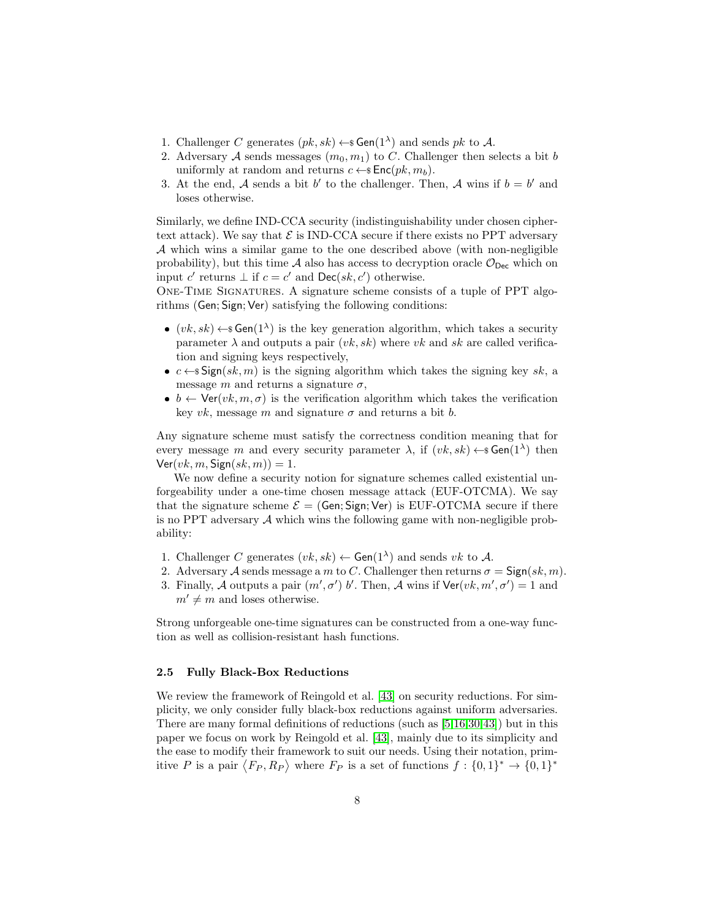- 1. Challenger C generates  $(pk, sk) \leftarrow s$  Gen $(1^{\lambda})$  and sends pk to A.
- 2. Adversary A sends messages  $(m_0, m_1)$  to C. Challenger then selects a bit b uniformly at random and returns  $c \leftarrow s \mathsf{Enc}(pk, m_b)$ .
- 3. At the end, A sends a bit b' to the challenger. Then, A wins if  $b = b'$  and loses otherwise.

Similarly, we define IND-CCA security (indistinguishability under chosen ciphertext attack). We say that  $\mathcal E$  is IND-CCA secure if there exists no PPT adversary A which wins a similar game to the one described above (with non-negligible probability), but this time  $A$  also has access to decryption oracle  $\mathcal{O}_{\text{Dec}}$  which on input c' returns  $\perp$  if  $c = c'$  and  $\text{Dec}(sk, c')$  otherwise.

One-Time Signatures. A signature scheme consists of a tuple of PPT algorithms (Gen; Sign; Ver) satisfying the following conditions:

- $(vk, sk) \leftarrow$  Sen $(1^{\lambda})$  is the key generation algorithm, which takes a security parameter  $\lambda$  and outputs a pair  $(vk, sk)$  where vk and sk are called verification and signing keys respectively,
- $c \leftarrow s$  Sign(sk, m) is the signing algorithm which takes the signing key sk, a message m and returns a signature  $\sigma$ ,
- $b \leftarrow \text{Ver}(vk, m, \sigma)$  is the verification algorithm which takes the verification key vk, message m and signature  $\sigma$  and returns a bit b.

Any signature scheme must satisfy the correctness condition meaning that for every message m and every security parameter  $\lambda$ , if  $(vk, sk) \leftarrow s$  Gen $(1^{\lambda})$  then  $\text{Ver}(vk, m, \text{Sign}(sk, m)) = 1.$ 

We now define a security notion for signature schemes called existential unforgeability under a one-time chosen message attack (EUF-OTCMA). We say that the signature scheme  $\mathcal{E} = (\mathsf{Gen}; \mathsf{Sign}; \mathsf{Ver})$  is EUF-OTCMA secure if there is no PPT adversary  $\mathcal A$  which wins the following game with non-negligible probability:

- 1. Challenger C generates  $(vk, sk) \leftarrow$  Gen $(1^{\lambda})$  and sends vk to A.
- 2. Adversary A sends message a m to C. Challenger then returns  $\sigma = \text{Sign}(sk, m)$ .
- 3. Finally, A outputs a pair  $(m', \sigma')$  b'. Then, A wins if  $\text{Ver}(vk, m', \sigma') = 1$  and  $m' \neq m$  and loses otherwise.

Strong unforgeable one-time signatures can be constructed from a one-way function as well as collision-resistant hash functions.

#### 2.5 Fully Black-Box Reductions

We review the framework of Reingold et al. [\[43\]](#page-29-4) on security reductions. For simplicity, we only consider fully black-box reductions against uniform adversaries. There are many formal definitions of reductions (such as [\[5,](#page-27-11)[16,](#page-28-12)[30](#page-28-13)[,43\]](#page-29-4)) but in this paper we focus on work by Reingold et al. [\[43\]](#page-29-4), mainly due to its simplicity and the ease to modify their framework to suit our needs. Using their notation, primitive P is a pair  $\langle F_P, R_P \rangle$  where  $F_P$  is a set of functions  $f: \{0,1\}^* \to \{0,1\}^*$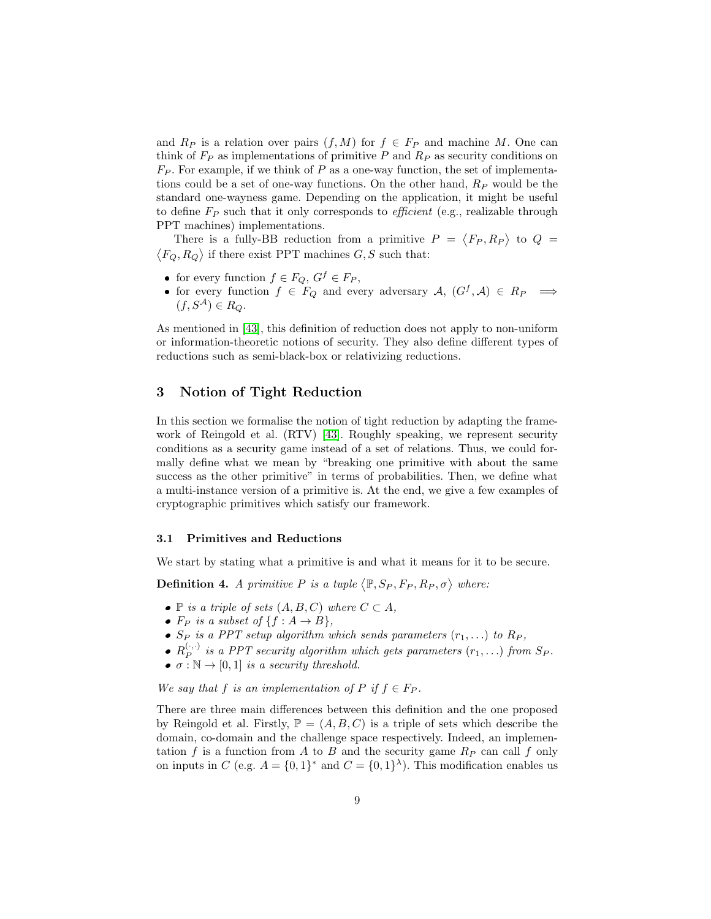and  $R_P$  is a relation over pairs  $(f, M)$  for  $f \in F_P$  and machine M. One can think of  $F_P$  as implementations of primitive  $P$  and  $R_P$  as security conditions on  $F_P$ . For example, if we think of P as a one-way function, the set of implementations could be a set of one-way functions. On the other hand,  $R_P$  would be the standard one-wayness game. Depending on the application, it might be useful to define  $F_P$  such that it only corresponds to *efficient* (e.g., realizable through PPT machines) implementations.

There is a fully-BB reduction from a primitive  $P = \langle F_P, R_P \rangle$  to  $Q =$  $\langle F_Q, R_Q \rangle$  if there exist PPT machines  $G, S$  such that:

- for every function  $f \in F_Q$ ,  $G^f \in F_P$ ,
- for every function  $f \in F_Q$  and every adversary  $A, (G^f, A) \in R_P \implies$  $(f, S^{\mathcal{A}}) \in R_Q$ .

As mentioned in [\[43\]](#page-29-4), this definition of reduction does not apply to non-uniform or information-theoretic notions of security. They also define different types of reductions such as semi-black-box or relativizing reductions.

# 3 Notion of Tight Reduction

In this section we formalise the notion of tight reduction by adapting the framework of Reingold et al. (RTV) [\[43\]](#page-29-4). Roughly speaking, we represent security conditions as a security game instead of a set of relations. Thus, we could formally define what we mean by "breaking one primitive with about the same success as the other primitive" in terms of probabilities. Then, we define what a multi-instance version of a primitive is. At the end, we give a few examples of cryptographic primitives which satisfy our framework.

#### 3.1 Primitives and Reductions

We start by stating what a primitive is and what it means for it to be secure.

**Definition 4.** A primitive P is a tuple  $\langle \mathbb{P}, S_P, F_P, R_P, \sigma \rangle$  where:

- $\mathbb P$  is a triple of sets  $(A, B, C)$  where  $C \subset A$ ,
- $F_P$  is a subset of  $\{f : A \rightarrow B\}$ ,
- $\bullet$  S<sub>P</sub> is a PPT setup algorithm which sends parameters  $(r_1, \ldots)$  to R<sub>P</sub>,
- $R_P^{(\cdot,\cdot)}$  $P_P^{(\cdot,\cdot)}$  is a PPT security algorithm which gets parameters  $(r_1, \ldots)$  from  $S_P$ .
- $\bullet \ \sigma : \mathbb{N} \to [0,1]$  is a security threshold.

We say that f is an implementation of P if  $f \in F_P$ .

There are three main differences between this definition and the one proposed by Reingold et al. Firstly,  $\mathbb{P} = (A, B, C)$  is a triple of sets which describe the domain, co-domain and the challenge space respectively. Indeed, an implementation f is a function from A to B and the security game  $R_P$  can call f only on inputs in C (e.g.  $A = \{0,1\}^*$  and  $C = \{0,1\}^{\lambda}$ ). This modification enables us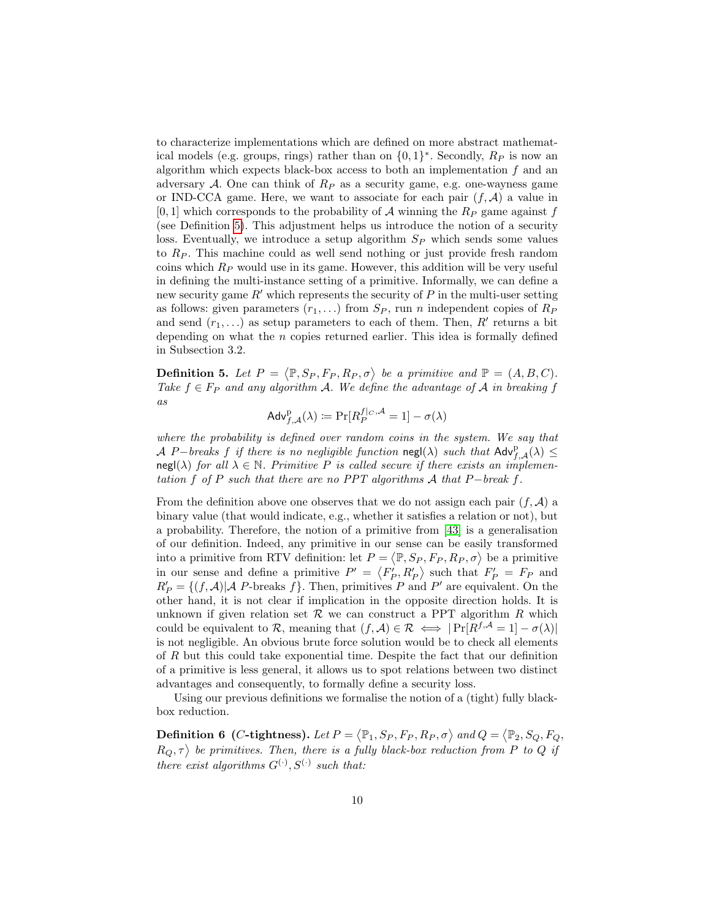to characterize implementations which are defined on more abstract mathematical models (e.g. groups, rings) rather than on  $\{0,1\}^*$ . Secondly,  $R_P$  is now an algorithm which expects black-box access to both an implementation  $f$  and an adversary A. One can think of  $R_P$  as a security game, e.g. one-wayness game or IND-CCA game. Here, we want to associate for each pair  $(f, A)$  a value in  $[0, 1]$  which corresponds to the probability of A winning the  $R_P$  game against f (see Definition [5\)](#page-9-0). This adjustment helps us introduce the notion of a security loss. Eventually, we introduce a setup algorithm  $S_P$  which sends some values to  $R_P$ . This machine could as well send nothing or just provide fresh random coins which  $R_P$  would use in its game. However, this addition will be very useful in defining the multi-instance setting of a primitive. Informally, we can define a new security game  $R'$  which represents the security of P in the multi-user setting as follows: given parameters  $(r_1, \ldots)$  from  $S_P$ , run n independent copies of  $R_P$ and send  $(r_1, \ldots)$  as setup parameters to each of them. Then, R' returns a bit depending on what the  $n$  copies returned earlier. This idea is formally defined in Subsection 3.2.

**Definition 5.** Let  $P = \langle \mathbb{P}, S_P, F_P, R_P, \sigma \rangle$  be a primitive and  $\mathbb{P} = (A, B, C)$ . Take  $f \in F_P$  and any algorithm A. We define the advantage of A in breaking f as

<span id="page-9-0"></span>
$$
\mathsf{Adv}_{f,\mathcal{A}}^{\mathsf{p}}(\lambda) \coloneqq \Pr[R_P^{f|_{C},\mathcal{A}}=1] - \sigma(\lambda)
$$

where the probability is defined over random coins in the system. We say that A P-breaks f if there is no negligible function  $\text{negl}(\lambda)$  such that  $\text{Adv}_{f,\mathcal{A}}^{\text{p}}(\lambda) \leq$ negl( $\lambda$ ) for all  $\lambda \in \mathbb{N}$ . Primitive P is called secure if there exists an implementation f of P such that there are no PPT algorithms A that  $P$ -break f.

From the definition above one observes that we do not assign each pair  $(f, \mathcal{A})$  a binary value (that would indicate, e.g., whether it satisfies a relation or not), but a probability. Therefore, the notion of a primitive from [\[43\]](#page-29-4) is a generalisation of our definition. Indeed, any primitive in our sense can be easily transformed into a primitive from RTV definition: let  $P = \langle \mathbb{P}, S_P, F_P, R_P, \sigma \rangle$  be a primitive in our sense and define a primitive  $P' = \langle F'_P, R'_P \rangle$  such that  $F'_P = F_P$  and  $R'_P = \{(f, A) | A \text{ } P\text{-breaks } f\}.$  Then, primitives P and P' are equivalent. On the other hand, it is not clear if implication in the opposite direction holds. It is unknown if given relation set  $\mathcal R$  we can construct a PPT algorithm  $R$  which could be equivalent to R, meaning that  $(f, A) \in \mathcal{R} \iff |Pr[R^{f,A} = 1] - \sigma(\lambda)|$ is not negligible. An obvious brute force solution would be to check all elements of  $R$  but this could take exponential time. Despite the fact that our definition of a primitive is less general, it allows us to spot relations between two distinct advantages and consequently, to formally define a security loss.

Using our previous definitions we formalise the notion of a (tight) fully blackbox reduction.

**Definition 6** (*C*-tightness). Let  $P = \langle \mathbb{P}_1, S_P, F_P, R_P, \sigma \rangle$  and  $Q = \langle \mathbb{P}_2, S_Q, F_Q, \sigma \rangle$  $R_Q, \tau \rangle$  be primitives. Then, there is a fully black-box reduction from P to Q if there exist algorithms  $G^{(\cdot)}, S^{(\cdot)}$  such that: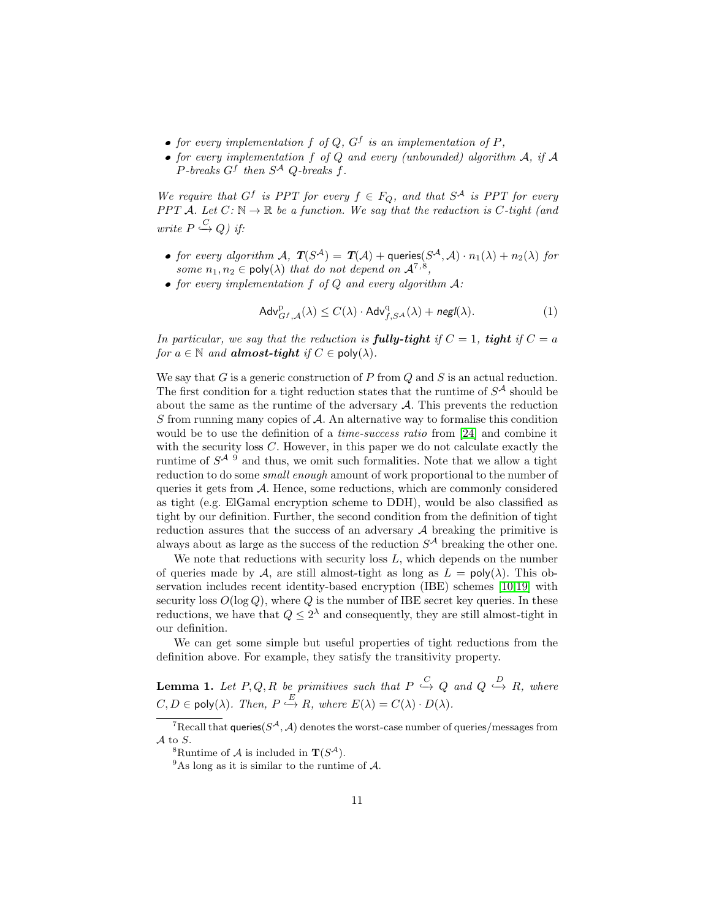- for every implementation  $f$  of  $Q$ ,  $G^f$  is an implementation of  $P$ ,
- $\bullet$  for every implementation f of Q and every (unbounded) algorithm A, if A  $P\text{-}breaks\ G^f\ then\ S^{\mathcal{A}}\ Q\text{-}breaks\ f.$

We require that  $G^f$  is PPT for every  $f \in F_Q$ , and that  $S^{\mathcal{A}}$  is PPT for every PPT A. Let  $C: \mathbb{N} \to \mathbb{R}$  be a function. We say that the reduction is C-tight (and write  $P \stackrel{C}{\hookrightarrow} Q$ ) if:

- for every algorithm A,  $T(S^{\mathcal{A}}) = T(\mathcal{A}) +$  queries $(S^{\mathcal{A}}, \mathcal{A}) \cdot n_1(\lambda) + n_2(\lambda)$  for some  $n_1, n_2 \in \text{poly}(\lambda)$  that do not depend on  $\mathcal{A}^{7,8}$ ,
- for every implementation  $f$  of  $Q$  and every algorithm  $A$ :

$$
\mathsf{Adv}^{\mathsf{p}}_{G^f, \mathcal{A}}(\lambda) \le C(\lambda) \cdot \mathsf{Adv}^{\mathsf{q}}_{f, S^{\mathcal{A}}}(\lambda) + \mathsf{negl}(\lambda). \tag{1}
$$

In particular, we say that the reduction is **fully-tight** if  $C = 1$ , **tight** if  $C = a$ for  $a \in \mathbb{N}$  and **almost-tight** if  $C \in \text{poly}(\lambda)$ .

We say that G is a generic construction of P from Q and S is an actual reduction. The first condition for a tight reduction states that the runtime of  $S^{\mathcal{A}}$  should be about the same as the runtime of the adversary  $A$ . This prevents the reduction S from running many copies of  $A$ . An alternative way to formalise this condition would be to use the definition of a time-success ratio from [\[24\]](#page-28-10) and combine it with the security loss C. However, in this paper we do not calculate exactly the runtime of  $S^{\mathcal{A}^9}$  and thus, we omit such formalities. Note that we allow a tight reduction to do some small enough amount of work proportional to the number of queries it gets from A. Hence, some reductions, which are commonly considered as tight (e.g. ElGamal encryption scheme to DDH), would be also classified as tight by our definition. Further, the second condition from the definition of tight reduction assures that the success of an adversary A breaking the primitive is always about as large as the success of the reduction  $S^{\mathcal{A}}$  breaking the other one.

We note that reductions with security loss  $L$ , which depends on the number of queries made by A, are still almost-tight as long as  $L = \text{poly}(\lambda)$ . This observation includes recent identity-based encryption (IBE) schemes [\[10,](#page-27-12)[19\]](#page-28-14) with security loss  $O(\log Q)$ , where Q is the number of IBE secret key queries. In these reductions, we have that  $Q \leq 2^{\lambda}$  and consequently, they are still almost-tight in our definition.

We can get some simple but useful properties of tight reductions from the definition above. For example, they satisfy the transitivity property.

**Lemma 1.** Let P, Q, R be primitives such that  $P \stackrel{C}{\hookrightarrow} Q$  and  $Q \stackrel{D}{\hookrightarrow} R$ , where  $C, D \in \text{poly}(\lambda)$ . Then,  $P \stackrel{E}{\hookrightarrow} R$ , where  $E(\lambda) = C(\lambda) \cdot D(\lambda)$ .

<sup>&</sup>lt;sup>7</sup>Recall that queries( $S^{\mathcal{A}}, \mathcal{A}$ ) denotes the worst-case number of queries/messages from  $A$  to  $S$ .

<span id="page-10-0"></span><sup>&</sup>lt;sup>8</sup>Runtime of A is included in  $\mathbf{T}(S^{\mathcal{A}})$ .

<sup>&</sup>lt;sup>9</sup>As long as it is similar to the runtime of  $A$ .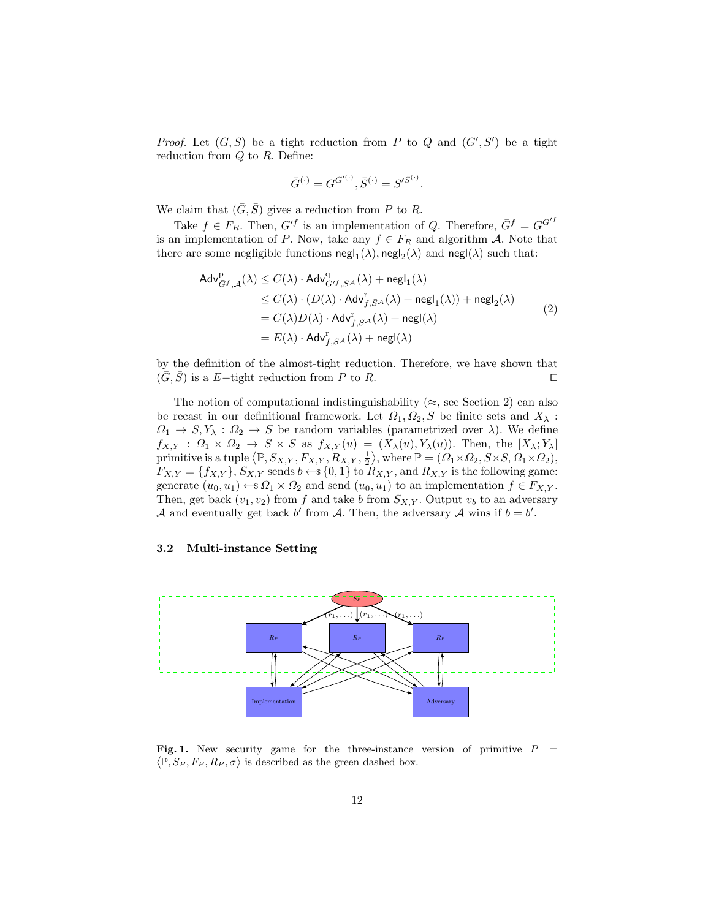*Proof.* Let  $(G, S)$  be a tight reduction from P to Q and  $(G', S')$  be a tight reduction from  $Q$  to  $R$ . Define:

$$
\bar{G}^{(\cdot)} = G^{G'^{(\cdot)}}, \bar{S}^{(\cdot)} = S'^{S^{(\cdot)}}.
$$

We claim that  $(\bar{G}, \bar{S})$  gives a reduction from P to R.

Take  $f \in F_R$ . Then,  $G^{ff}$  is an implementation of Q. Therefore,  $\bar{G}^f = G^{G^{ff}}$ is an implementation of P. Now, take any  $f \in F_R$  and algorithm A. Note that there are some negligible functions  $\mathsf{negl}_1(\lambda)$ ,  $\mathsf{negl}_2(\lambda)$  and  $\mathsf{negl}(\lambda)$  such that:

$$
\begin{aligned}\n\mathsf{Adv}_{\bar{G}^{f}, \mathcal{A}}^{p}(\lambda) &\leq C(\lambda) \cdot \mathsf{Adv}_{G'^{f}, S^{\mathcal{A}}}^{q}(\lambda) + \mathsf{negl}_{1}(\lambda) \\
&\leq C(\lambda) \cdot (D(\lambda) \cdot \mathsf{Adv}_{f, \bar{S}^{\mathcal{A}}}^{r}(\lambda) + \mathsf{negl}_{1}(\lambda)) + \mathsf{negl}_{2}(\lambda) \\
&= C(\lambda)D(\lambda) \cdot \mathsf{Adv}_{f, \bar{S}^{\mathcal{A}}}^{r}(\lambda) + \mathsf{negl}(\lambda) \\
&= E(\lambda) \cdot \mathsf{Adv}_{f, \bar{S}^{\mathcal{A}}}^{r}(\lambda) + \mathsf{negl}(\lambda)\n\end{aligned} \tag{2}
$$

by the definition of the almost-tight reduction. Therefore, we have shown that  $(\bar{G}, \bar{S})$  is a E-tight reduction from P to R.

The notion of computational indistinguishability ( $\approx$ , see Section 2) can also be recast in our definitional framework. Let  $\Omega_1, \Omega_2, S$  be finite sets and  $X_\lambda$ :  $\Omega_1 \to S, Y_\lambda : \Omega_2 \to S$  be random variables (parametrized over  $\lambda$ ). We define  $f_{X,Y}$ :  $\Omega_1 \times \Omega_2 \to S \times S$  as  $f_{X,Y}(u) = (X_\lambda(u), Y_\lambda(u))$ . Then, the  $[X_\lambda; Y_\lambda]$ primitive is a tuple  $\left\langle \mathbb{P}, S_{X,Y}, F_{X,Y}, R_{X,Y}, \frac{1}{2} \right\rangle$ , where  $\mathbb{P} = (\Omega_1 \times \Omega_2, S \times S, \Omega_1 \times \Omega_2),$  $F_{X,Y} = \{f_{X,Y}\}\, S_{X,Y}$  sends  $b \leftarrow \{0,1\}$  to  $R_{X,Y}$ , and  $R_{X,Y}$  is the following game: generate  $(u_0, u_1) \leftarrow \Omega_1 \times \Omega_2$  and send  $(u_0, u_1)$  to an implementation  $f \in F_{X,Y}$ . Then, get back  $(v_1, v_2)$  from f and take b from  $S_{X,Y}$ . Output  $v_b$  to an adversary A and eventually get back b' from A. Then, the adversary A wins if  $b = b'$ .

# 3.2 Multi-instance Setting



<span id="page-11-0"></span>Fig. 1. New security game for the three-instance version of primitive  $P =$  $\langle \mathbb{P}, S_P, F_P, R_P, \sigma \rangle$  is described as the green dashed box.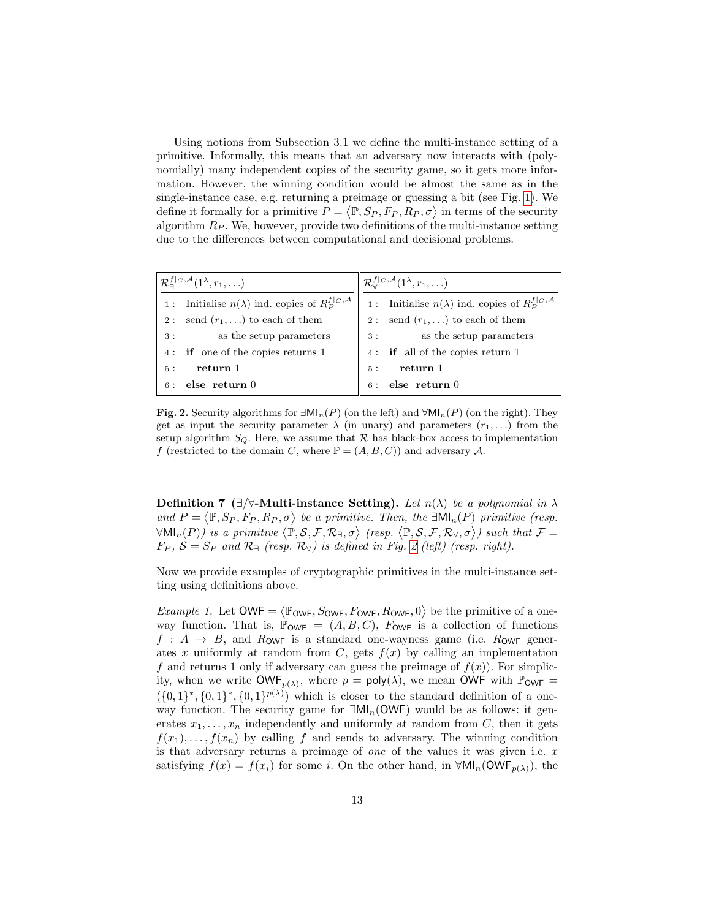Using notions from Subsection 3.1 we define the multi-instance setting of a primitive. Informally, this means that an adversary now interacts with (polynomially) many independent copies of the security game, so it gets more information. However, the winning condition would be almost the same as in the single-instance case, e.g. returning a preimage or guessing a bit (see Fig. [1\)](#page-11-0). We define it formally for a primitive  $P = \langle \mathbb{P}, S_P, F_P, R_P, \sigma \rangle$  in terms of the security algorithm  $R_P$ . We, however, provide two definitions of the multi-instance setting due to the differences between computational and decisional problems.

| $\mathcal{R}_{\exists}^{f C,\mathcal{A}}(1^{\lambda},r_1,\ldots)$  | $\mathcal{R}_{\forall}^{f C,\mathcal{A}}(1^{\lambda},r_1,\ldots)$    |
|--------------------------------------------------------------------|----------------------------------------------------------------------|
| 1: Initialise $n(\lambda)$ ind. copies of $R_P^{f _C,\mathcal{A}}$ | 1 : Initialise $n(\lambda)$ ind. copies of $R_P^{f _C, \mathcal{A}}$ |
| 2: send $(r_1,)$ to each of them                                   | 2: send $(r_1,)$ to each of them                                     |
| 3: as the setup parameters                                         | $\parallel$ 3: as the setup parameters                               |
| 4: if one of the copies returns 1                                  | $4:$ <b>if</b> all of the copies return 1                            |
| return 1<br>5:                                                     | $5:$ return 1                                                        |
| $6:$ else return $0$                                               | $6:$ else return $0$                                                 |

<span id="page-12-0"></span>Fig. 2. Security algorithms for  $\exists M I_n(P)$  (on the left) and  $\forall M I_n(P)$  (on the right). They get as input the security parameter  $\lambda$  (in unary) and parameters  $(r_1, \ldots)$  from the setup algorithm  $S_Q$ . Here, we assume that  $R$  has black-box access to implementation f (restricted to the domain C, where  $\mathbb{P} = (A, B, C)$ ) and adversary A.

Definition 7 ( $\exists/\forall$ -Multi-instance Setting). Let  $n(\lambda)$  be a polynomial in  $\lambda$ and  $P = \langle \mathbb{P}, S_P, F_P, R_P, \sigma \rangle$  be a primitive. Then, the  $\exists \mathsf{Ml}_n(P)$  primitive (resp.  $\forall \mathsf{ML}_n(P)$  is a primitive  $\langle \mathbb{P}, \mathcal{S}, \mathcal{F}, \mathcal{R}_{\exists}, \sigma \rangle$  (resp.  $\langle \mathbb{P}, \mathcal{S}, \mathcal{F}, \mathcal{R}_{\forall}, \sigma \rangle$ ) such that  $\mathcal{F} =$  $F_P$ ,  $S = S_P$  and  $\mathcal{R}_{\exists}$  (resp.  $\mathcal{R}_{\forall}$ ) is defined in Fig. [2](#page-12-0) (left) (resp. right).

Now we provide examples of cryptographic primitives in the multi-instance setting using definitions above.

<span id="page-12-1"></span>*Example 1.* Let  $OWF = \langle \mathbb{P}_{OWF}, S_{OWF}, F_{OWF}, R_{OWF}, 0 \rangle$  be the primitive of a oneway function. That is,  $\mathbb{P}_{\text{OWF}} = (A, B, C), F_{\text{OWF}}$  is a collection of functions  $f : A \rightarrow B$ , and  $R_{\text{OWF}}$  is a standard one-wayness game (i.e.  $R_{\text{OWF}}$  generates x uniformly at random from C, gets  $f(x)$  by calling an implementation f and returns 1 only if adversary can guess the preimage of  $f(x)$ ). For simplicity, when we write  $\overline{OWF}_{p(\lambda)}$ , where  $p = \text{poly}(\lambda)$ , we mean  $\overline{OWF}$  with  $\mathbb{P}_{\text{OWF}} =$  $({0,1}^*,{0,1}^*,{0,1}^{p(\lambda)})$  which is closer to the standard definition of a oneway function. The security game for  $\exists M I_n(OWF)$  would be as follows: it generates  $x_1, \ldots, x_n$  independently and uniformly at random from C, then it gets  $f(x_1), \ldots, f(x_n)$  by calling f and sends to adversary. The winning condition is that adversary returns a preimage of one of the values it was given i.e.  $x$ satisfying  $f(x) = f(x_i)$  for some i. On the other hand, in  $\forall M I_n(\text{OWF}_{n(\lambda)})$ , the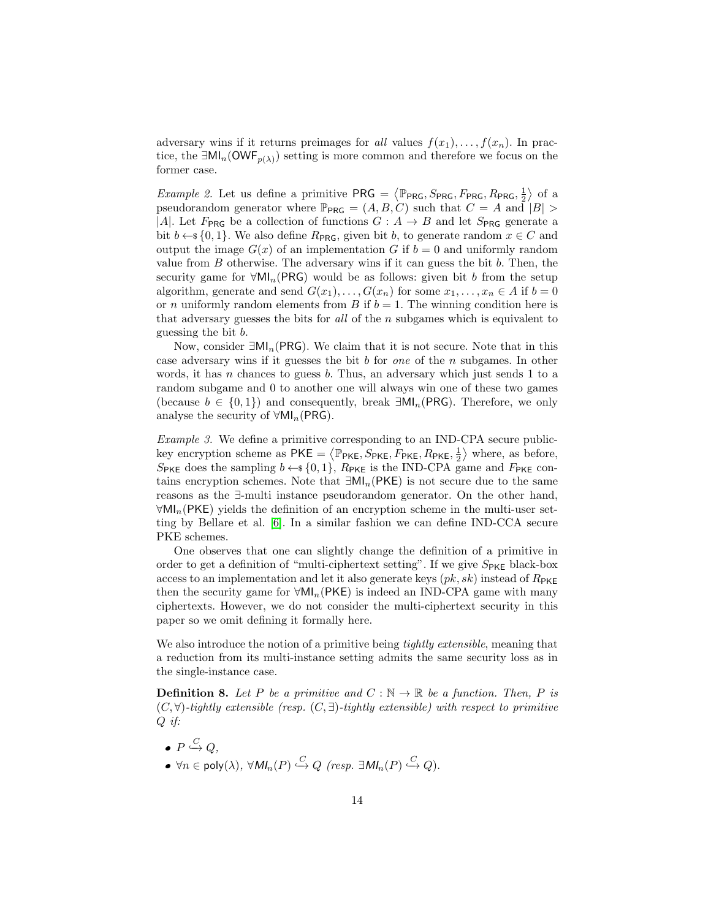adversary wins if it returns preimages for all values  $f(x_1), \ldots, f(x_n)$ . In practice, the  $\exists M I_n(\text{OWF}_{p(\lambda)})$  setting is more common and therefore we focus on the former case.

<span id="page-13-0"></span>*Example 2.* Let us define a primitive PRG =  $\langle \mathbb{P}_{PRG}, S_{PRG}, F_{PRG}, R_{PRG}, \frac{1}{2} \rangle$  of a pseudorandom generator where  $\mathbb{P}_{\textsf{PRG}} = (A, B, C)$  such that  $C = A$  and  $|B| >$ |A|. Let  $F_{\text{PRG}}$  be a collection of functions  $G: A \rightarrow B$  and let  $S_{\text{PRG}}$  generate a bit  $b \leftarrow s \{0, 1\}$ . We also define  $R_{PRG}$ , given bit b, to generate random  $x \in C$  and output the image  $G(x)$  of an implementation G if  $b = 0$  and uniformly random value from  $B$  otherwise. The adversary wins if it can guess the bit  $b$ . Then, the security game for  $\forall M I_n(PRG)$  would be as follows: given bit b from the setup algorithm, generate and send  $G(x_1), \ldots, G(x_n)$  for some  $x_1, \ldots, x_n \in A$  if  $b = 0$ or *n* uniformly random elements from *B* if  $b = 1$ . The winning condition here is that adversary guesses the bits for  $all$  of the  $n$  subgames which is equivalent to guessing the bit b.

Now, consider  $\exists M I_n(PRG)$ . We claim that it is not secure. Note that in this case adversary wins if it guesses the bit b for one of the n subgames. In other words, it has  $n$  chances to guess  $b$ . Thus, an adversary which just sends 1 to a random subgame and 0 to another one will always win one of these two games (because  $b \in \{0,1\}$ ) and consequently, break  $\exists M I_n(PRG)$ . Therefore, we only analyse the security of  $\forall M I_n(PRG)$ .

Example 3. We define a primitive corresponding to an IND-CPA secure publickey encryption scheme as  $\mathsf{PKE} = \langle \mathbb{P}_{\mathsf{PKE}}, S_{\mathsf{PKE}}, F_{\mathsf{PKE}}, R_{\mathsf{PKE}}, \frac{1}{2} \rangle$  where, as before,  $S_{\text{PKE}}$  does the sampling  $b \leftarrow \{0, 1\}$ ,  $R_{\text{PKE}}$  is the IND-CPA game and  $F_{\text{PKE}}$  contains encryption schemes. Note that  $\exists M I_n(PKE)$  is not secure due to the same reasons as the ∃-multi instance pseudorandom generator. On the other hand,  $\forall \text{MI}_n(\text{PKE})$  yields the definition of an encryption scheme in the multi-user setting by Bellare et al. [\[6\]](#page-27-1). In a similar fashion we can define IND-CCA secure PKE schemes.

One observes that one can slightly change the definition of a primitive in order to get a definition of "multi-ciphertext setting". If we give  $S_{PKE}$  black-box access to an implementation and let it also generate keys  $(pk, sk)$  instead of  $R_{PKF}$ then the security game for  $\forall M I_n(PKE)$  is indeed an IND-CPA game with many ciphertexts. However, we do not consider the multi-ciphertext security in this paper so we omit defining it formally here.

We also introduce the notion of a primitive being *tightly extensible*, meaning that a reduction from its multi-instance setting admits the same security loss as in the single-instance case.

**Definition 8.** Let P be a primitive and  $C : \mathbb{N} \to \mathbb{R}$  be a function. Then, P is  $(C, \forall)$ -tightly extensible (resp.  $(C, \exists)$ -tightly extensible) with respect to primitive Q if:

- $\bullet$   $P \stackrel{C}{\hookrightarrow} Q$ ,
- $\forall n \in \text{poly}(\lambda), \ \forall M l_n(P) \stackrel{C}{\hookrightarrow} Q$  (resp.  $\exists M l_n(P) \stackrel{C}{\hookrightarrow} Q$ ).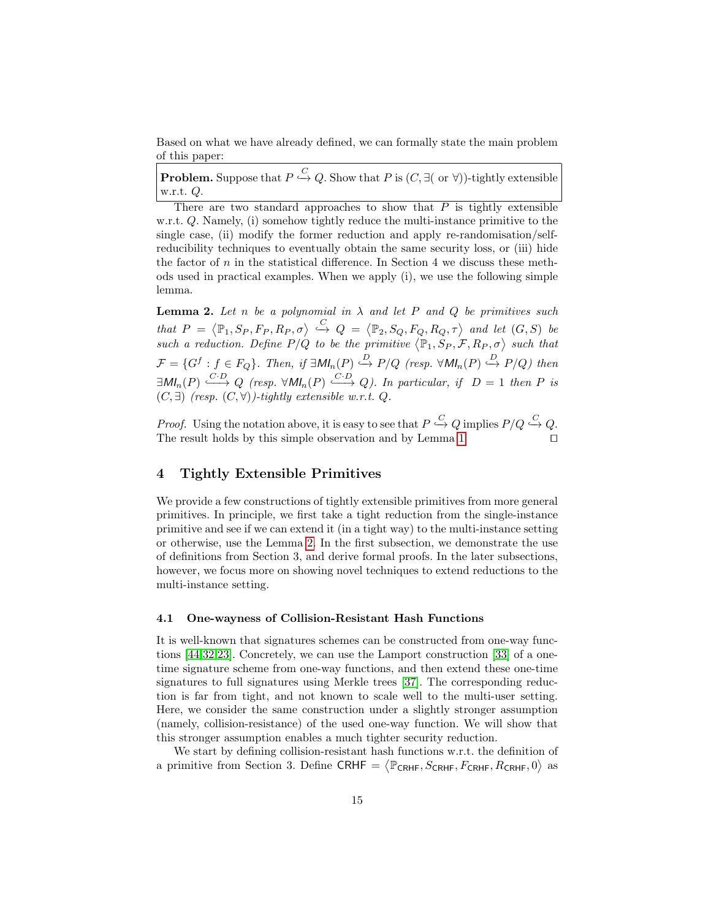Based on what we have already defined, we can formally state the main problem of this paper:

**Problem.** Suppose that  $P \stackrel{C}{\hookrightarrow} Q$ . Show that P is  $(C, \exists (\text{ or } \forall))$ -tightly extensible w.r.t. Q.

There are two standard approaches to show that  $P$  is tightly extensible w.r.t. Q. Namely, (i) somehow tightly reduce the multi-instance primitive to the single case, (ii) modify the former reduction and apply re-randomisation/selfreducibility techniques to eventually obtain the same security loss, or (iii) hide the factor of  $n$  in the statistical difference. In Section 4 we discuss these methods used in practical examples. When we apply (i), we use the following simple lemma.

<span id="page-14-0"></span>**Lemma 2.** Let n be a polynomial in  $\lambda$  and let P and Q be primitives such that  $P = \langle \mathbb{P}_1, S_P, F_P, R_P, \sigma \rangle \stackrel{C}{\hookrightarrow} Q = \langle \mathbb{P}_2, S_Q, F_Q, R_Q, \tau \rangle$  and let  $(G, S)$  be such a reduction. Define  $P/Q$  to be the primitive  $\langle \mathbb{P}_1, S_P, \mathcal{F}, R_P, \sigma \rangle$  such that  $\mathcal{F} = \{G^f : f \in F_Q\}$ . Then, if  $\exists M l_n(P) \stackrel{D}{\hookrightarrow} P/Q$  (resp.  $\forall M l_n(P) \stackrel{D}{\hookrightarrow} P/Q$ ) then  $\exists M l_n(P) \stackrel{C \cdot D}{\longrightarrow} Q$  (resp.  $\forall M l_n(P) \stackrel{C \cdot D}{\longrightarrow} Q$ ). In particular, if  $D = 1$  then P is  $(C, \exists)$  (resp.  $(C, \forall)$ )-tightly extensible w.r.t.  $Q$ .

*Proof.* Using the notation above, it is easy to see that  $P \stackrel{C}{\hookrightarrow} Q$  implies  $P/Q \stackrel{C}{\hookrightarrow} Q$ . The result holds by this simple observation and by Lemma [1.](#page-10-0)

# 4 Tightly Extensible Primitives

We provide a few constructions of tightly extensible primitives from more general primitives. In principle, we first take a tight reduction from the single-instance primitive and see if we can extend it (in a tight way) to the multi-instance setting or otherwise, use the Lemma [2.](#page-14-0) In the first subsection, we demonstrate the use of definitions from Section 3, and derive formal proofs. In the later subsections, however, we focus more on showing novel techniques to extend reductions to the multi-instance setting.

# 4.1 One-wayness of Collision-Resistant Hash Functions

It is well-known that signatures schemes can be constructed from one-way functions [\[44,](#page-29-5)[32,](#page-29-6)[23\]](#page-28-7). Concretely, we can use the Lamport construction [\[33\]](#page-29-9) of a onetime signature scheme from one-way functions, and then extend these one-time signatures to full signatures using Merkle trees [\[37\]](#page-29-12). The corresponding reduction is far from tight, and not known to scale well to the multi-user setting. Here, we consider the same construction under a slightly stronger assumption (namely, collision-resistance) of the used one-way function. We will show that this stronger assumption enables a much tighter security reduction.

We start by defining collision-resistant hash functions w.r.t. the definition of a primitive from Section 3. Define CRHF =  $\langle \mathbb{P}_{CRHF}, S_{CRHF}, F_{CRHF}, R_{CRHF}, 0 \rangle$  as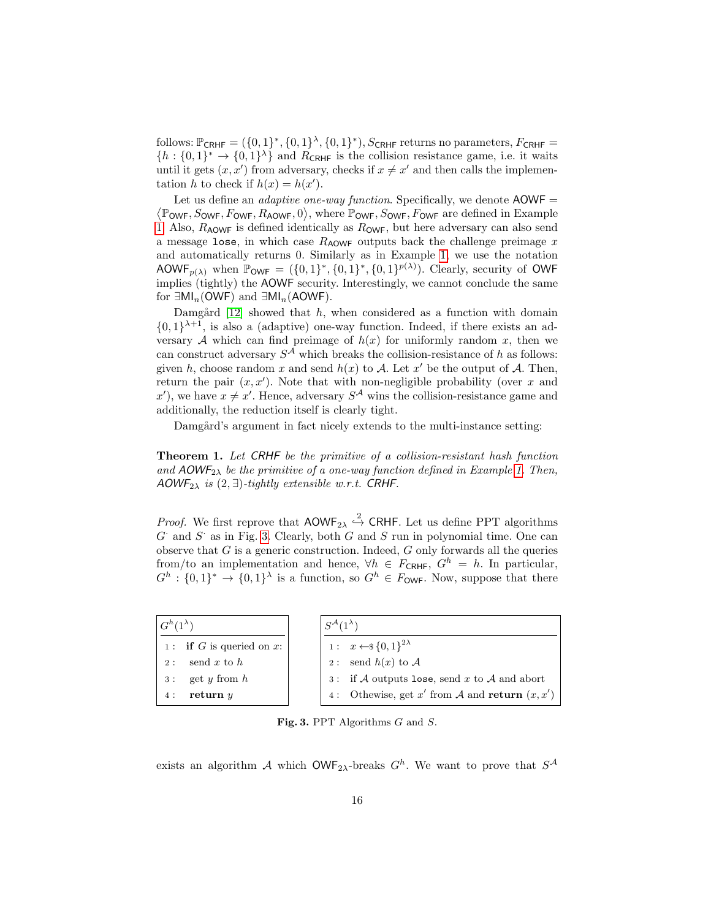follows:  $\mathbb{P}_{CRHF} = (\{0,1\}^*, \{0,1\}^{\lambda}, \{0,1\}^*)$ ,  $S_{CRHF}$  returns no parameters,  $F_{CRHF}$  =  $\{h: \{0,1\}^* \to \{0,1\}^{\lambda}\}\$ and  $R_{\text{CRHF}}$  is the collision resistance game, i.e. it waits until it gets  $(x, x')$  from adversary, checks if  $x \neq x'$  and then calls the implementation h to check if  $h(x) = h(x')$ .

Let us define an *adaptive one-way function*. Specifically, we denote  $AOWF =$  $\langle \mathbb{P}_{\text{OWF}}, S_{\text{OWF}}, F_{\text{OWF}}, R_{\text{AOWF}}, 0 \rangle$ , where  $\mathbb{P}_{\text{OWF}}, S_{\text{OWF}}, F_{\text{OWF}}$  are defined in Example [1.](#page-12-1) Also,  $R_{\text{AOWF}}$  is defined identically as  $R_{\text{OWF}}$ , but here adversary can also send a message lose, in which case  $R_{\text{AOWF}}$  outputs back the challenge preimage x and automatically returns 0. Similarly as in Example [1,](#page-12-1) we use the notation AOWF<sub>p( $\lambda$ )</sub> when  $\mathbb{P}_{\text{OWF}} = (\{0,1\}^*, \{0,1\}^*, \{0,1\}^{p(\lambda)})$ . Clearly, security of OWF implies (tightly) the AOWF security. Interestingly, we cannot conclude the same for  $\exists M I_n(OWF)$  and  $\exists M I_n(AOWF)$ .

Damgård  $[12]$  showed that h, when considered as a function with domain  $\{0,1\}^{\lambda+1}$ , is also a (adaptive) one-way function. Indeed, if there exists an adversary A which can find preimage of  $h(x)$  for uniformly random x, then we can construct adversary  $S^{\mathcal{A}}$  which breaks the collision-resistance of h as follows: given h, choose random x and send  $h(x)$  to A. Let x' be the output of A. Then, return the pair  $(x, x')$ . Note that with non-negligible probability (over x and x'), we have  $x \neq x'$ . Hence, adversary  $S^{\mathcal{A}}$  wins the collision-resistance game and additionally, the reduction itself is clearly tight.

Damgård's argument in fact nicely extends to the multi-instance setting:

Theorem 1. Let CRHF be the primitive of a collision-resistant hash function and  $AOWF_{2\lambda}$  be the primitive of a one-way function defined in Example [1.](#page-12-1) Then, AOW $F_{2\lambda}$  is  $(2, \exists)$ -tightly extensible w.r.t. CRHF.

*Proof.* We first reprove that  $AOWF_{2\lambda} \stackrel{?}{\hookrightarrow} CRHF$ . Let us define PPT algorithms  $G^{\cdot}$  and  $S^{\cdot}$  as in Fig. [3.](#page-15-0) Clearly, both  $G$  and  $S$  run in polynomial time. One can observe that  $G$  is a generic construction. Indeed,  $G$  only forwards all the queries from/to an implementation and hence,  $\forall h \in F_{CRHF}$ ,  $G^h = h$ . In particular,  $G^h: \{0,1\}^* \to \{0,1\}^{\lambda}$  is a function, so  $G^h \in F_{\text{OWF}}$ . Now, suppose that there

| $G^h(1^{\lambda})$       |                                                   |
|--------------------------|---------------------------------------------------|
| 1: if G is queried on x: | 1 : $x \leftarrow \{0,1\}^{2\lambda}$             |
| send x to $h$<br>2:      | 2 : send $h(x)$ to A                              |
| $3:$ get y from h        | 3: if $A$ outputs lose, send $x$ to $A$ and abort |
| return $y$<br>4 :        | 4: Othewise, get x' from A and return $(x, x')$   |

<span id="page-15-0"></span>Fig. 3. PPT Algorithms G and S.

exists an algorithm A which  $\mathsf{OWF}_{2\lambda}$ -breaks  $G^h$ . We want to prove that  $S^{\mathcal{A}}$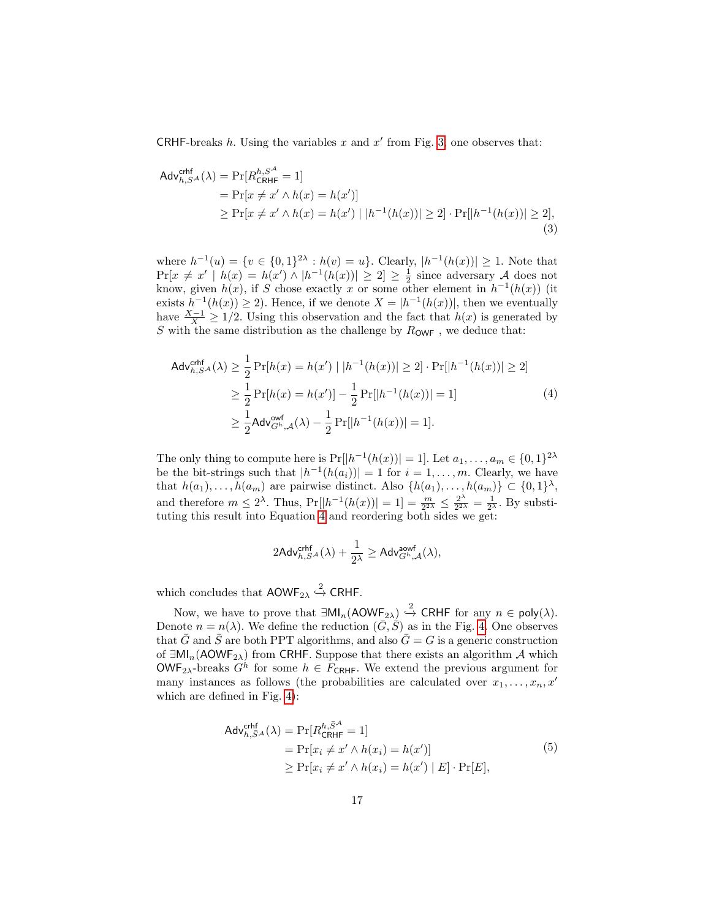CRHF-breaks  $h$ . Using the variables  $x$  and  $x'$  from Fig. [3,](#page-15-0) one observes that:

$$
\begin{aligned} \mathsf{Adv}_{h,S^{A}}^{\mathsf{crhf}}(\lambda) &= \Pr[R_{\mathsf{CRHF}}^{h,S^{A}} = 1] \\ &= \Pr[x \neq x' \land h(x) = h(x')] \\ &\geq \Pr[x \neq x' \land h(x) = h(x') \mid |h^{-1}(h(x))| \geq 2] \cdot \Pr[|h^{-1}(h(x))| \geq 2], \end{aligned} \tag{3}
$$

where  $h^{-1}(u) = \{v \in \{0,1\}^{2\lambda} : h(v) = u\}$ . Clearly,  $|h^{-1}(h(x))| \ge 1$ . Note that  $Pr[x \neq x' \mid h(x) = h(x') \land |h^{-1}(h(x))| \geq 2] \geq \frac{1}{2}$  since adversary A does not know, given  $h(x)$ , if S chose exactly x or some other element in  $h^{-1}(h(x))$  (it exists  $h^{-1}(h(x)) \geq 2$ . Hence, if we denote  $X = |h^{-1}(h(x))|$ , then we eventually have  $\frac{X-1}{X} \geq 1/2$ . Using this observation and the fact that  $h(x)$  is generated by S with the same distribution as the challenge by  $R_{\text{OWF}}$ , we deduce that:

<span id="page-16-0"></span>
$$
\begin{split} \mathsf{Adv}_{h,S^{A}}^{\mathsf{crhf}}(\lambda) &\geq \frac{1}{2} \Pr[h(x) = h(x') \mid |h^{-1}(h(x))| \geq 2] \cdot \Pr[|h^{-1}(h(x))| \geq 2] \\ &\geq \frac{1}{2} \Pr[h(x) = h(x')] - \frac{1}{2} \Pr[|h^{-1}(h(x))| = 1] \\ &\geq \frac{1}{2} \mathsf{Adv}_{G^{h},\mathcal{A}}^{\mathsf{owf}}(\lambda) - \frac{1}{2} \Pr[|h^{-1}(h(x))| = 1]. \end{split} \tag{4}
$$

The only thing to compute here is  $Pr[|h^{-1}(h(x))| = 1]$ . Let  $a_1, \ldots, a_m \in \{0, 1\}^{2\lambda}$ be the bit-strings such that  $|h^{-1}(h(a_i))|=1$  for  $i=1,\ldots,m$ . Clearly, we have that  $h(a_1), \ldots, h(a_m)$  are pairwise distinct. Also  $\{h(a_1), \ldots, h(a_m)\} \subset \{0,1\}^{\lambda}$ , and therefore  $m \le 2^{\lambda}$ . Thus,  $Pr[|h^{-1}(h(x))| = 1] = \frac{m}{2^{2\lambda}} \le \frac{2^{\lambda}}{2^{2\lambda}}$  $\frac{2^{\lambda}}{2^{2\lambda}} = \frac{1}{2^{\lambda}}$ . By substituting this result into Equation [4](#page-16-0) and reordering both sides we get:

$$
2\mathsf{Adv}_{h,S^{\mathcal{A}}}^{\mathsf{crhf}}(\lambda) + \frac{1}{2^\lambda} \geq \mathsf{Adv}_{G^h,\mathcal{A}}^{\mathsf{aowf}}(\lambda),
$$

which concludes that  $\mathsf{AOWF}_{2\lambda} \overset{2}{\hookrightarrow} \mathsf{CRHF}.$ 

Now, we have to prove that  $\exists M I_n(AOWF_{2\lambda}) \stackrel{2}{\hookrightarrow} CRHF$  for any  $n \in poly(\lambda)$ . Denote  $n = n(\lambda)$ . We define the reduction  $(\bar{G}, \bar{S})$  as in the Fig. [4.](#page-17-0) One observes that  $\bar{G}$  and  $\bar{S}$  are both PPT algorithms, and also  $\bar{G}=G$  is a generic construction of  $\exists \text{MI}_n(\text{AOWF}_{2\lambda})$  from CRHF. Suppose that there exists an algorithm A which  $\text{OWF}_{2\lambda}$ -breaks  $G^h$  for some  $h \in F_{\text{CRHF}}$ . We extend the previous argument for many instances as follows (the probabilities are calculated over  $x_1, \ldots, x_n, x'$ ) which are defined in Fig. [4\)](#page-17-0):

$$
\begin{aligned} \mathsf{Adv}_{h,\bar{S}^{\mathcal{A}}}^{\text{crhf}}(\lambda) &= \Pr[R_{\text{CRHF}}^{h,\bar{S}^{\mathcal{A}}}=1] \\ &= \Pr[x_i \neq x' \land h(x_i) = h(x')] \\ &\geq \Pr[x_i \neq x' \land h(x_i) = h(x') \mid E] \cdot \Pr[E], \end{aligned} \tag{5}
$$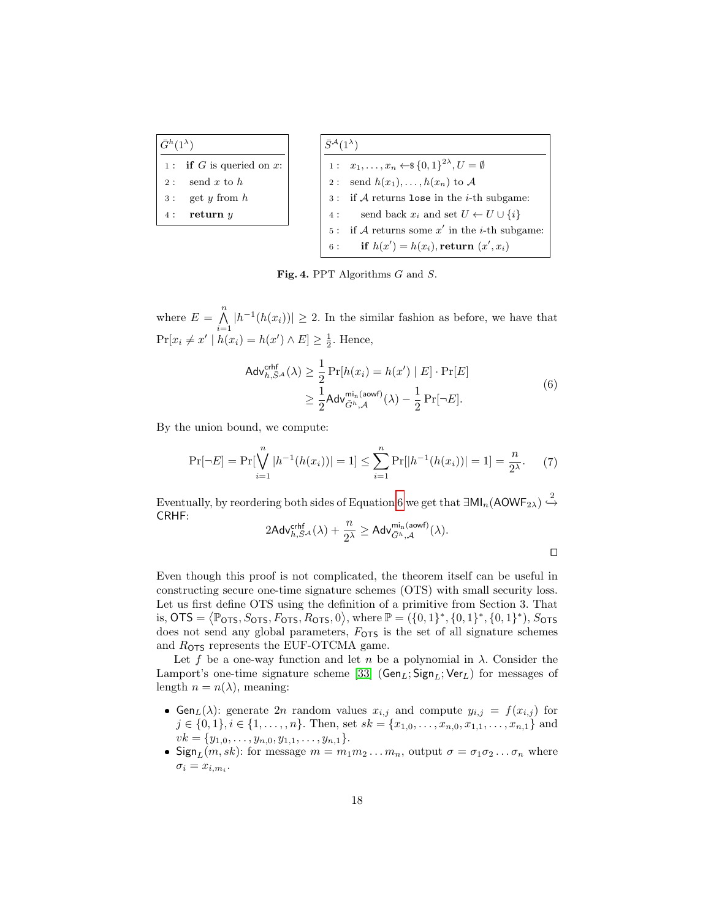| $\bar{G}^h(1^{\lambda})$ |                          |  |
|--------------------------|--------------------------|--|
|                          | 1: if G is queried on x: |  |
| 2:                       | send x to $h$            |  |
| 3:                       | get y from $h$           |  |
| 4 :                      | return $y$               |  |

| $\bar{S}^{\mathcal{A}}(1^{\lambda})$ |                                                                     |  |
|--------------------------------------|---------------------------------------------------------------------|--|
|                                      | 1: $x_1, \ldots, x_n \leftarrow \{0, 1\}^{2\lambda}, U = \emptyset$ |  |
|                                      | 2: send $h(x_1), \ldots, h(x_n)$ to A                               |  |
|                                      | 3: if A returns lose in the <i>i</i> -th subgame:                   |  |
| 4:                                   | send back $x_i$ and set $U \leftarrow U \cup \{i\}$                 |  |
|                                      | 5: if A returns some $x'$ in the <i>i</i> -th subgame:              |  |
|                                      | 6: <b>if</b> $h(x') = h(x_i)$ , <b>return</b> $(x', x_i)$           |  |

<span id="page-17-0"></span>Fig. 4. PPT Algorithms  $G$  and  $S$ .

where  $E = \bigwedge^n$  $i=1$  $|h^{-1}(h(x_i))| \geq 2$ . In the similar fashion as before, we have that  $Pr[x_i \neq x' \mid h(x_i) = h(x') \land E] \ge \frac{1}{2}$ . Hence,

$$
\mathsf{Adv}_{h,\bar{S}^{\mathcal{A}}}^{\mathsf{crhf}}(\lambda) \ge \frac{1}{2} \Pr[h(x_i) = h(x') \mid E] \cdot \Pr[E]
$$
\n
$$
\ge \frac{1}{2} \mathsf{Adv}_{\bar{G}^h,\mathcal{A}}^{\min(\text{aowf})}(\lambda) - \frac{1}{2} \Pr[\neg E].
$$
\n(6)

<span id="page-17-1"></span>By the union bound, we compute:

$$
\Pr[\neg E] = \Pr[\bigvee_{i=1}^{n} |h^{-1}(h(x_i))| = 1] \le \sum_{i=1}^{n} \Pr[|h^{-1}(h(x_i))| = 1] = \frac{n}{2^{\lambda}}.\tag{7}
$$

Eventually, by reordering both sides of Equation [6](#page-17-1) we get that  $\exists \text{MI}_n(\text{AOWF}_{2\lambda}) \overset{2}{\hookrightarrow}$ CRHF:

$$
2\mathsf{Adv}_{h,\bar{S}^{\mathcal{A}}}^{\text{crhf}}(\lambda) + \frac{n}{2^\lambda} \geq \mathsf{Adv}_{\bar{G}^h,\mathcal{A}}^{\min(\text{aowf})}(\lambda).
$$

Even though this proof is not complicated, the theorem itself can be useful in constructing secure one-time signature schemes (OTS) with small security loss. Let us first define OTS using the definition of a primitive from Section 3. That is, OTS =  $\langle \mathbb{P}_{\text{OTS}}, S_{\text{OTS}}, F_{\text{OTS}}, R_{\text{OTS}}, 0 \rangle$ , where  $\mathbb{P} = (\{0, 1\}^*, \{0, 1\}^*, \{0, 1\}^*)$ ,  $S_{\text{OTS}}$ does not send any global parameters,  $F_{\text{OTS}}$  is the set of all signature schemes and  $R_{\text{OTS}}$  represents the EUF-OTCMA game.

Let f be a one-way function and let n be a polynomial in  $\lambda$ . Consider the Lamport's one-time signature scheme [\[33\]](#page-29-9) ( $Gen_L; Sign_L; Ver_L$ ) for messages of length  $n = n(\lambda)$ , meaning:

- Gen<sub>L</sub>( $\lambda$ ): generate 2n random values  $x_{i,j}$  and compute  $y_{i,j} = f(x_{i,j})$  for  $j \in \{0, 1\}, i \in \{1, \ldots, n\}$ . Then, set  $sk = \{x_{1,0}, \ldots, x_{n,0}, x_{1,1}, \ldots, x_{n,1}\}$  and  $vk = \{y_{1,0}, \ldots, y_{n,0}, y_{1,1}, \ldots, y_{n,1}\}.$
- Sign<sub>L</sub> $(m, sk)$ : for message  $m = m_1 m_2 ... m_n$ , output  $\sigma = \sigma_1 \sigma_2 ... \sigma_n$  where  $\sigma_i = x_{i,m_i}.$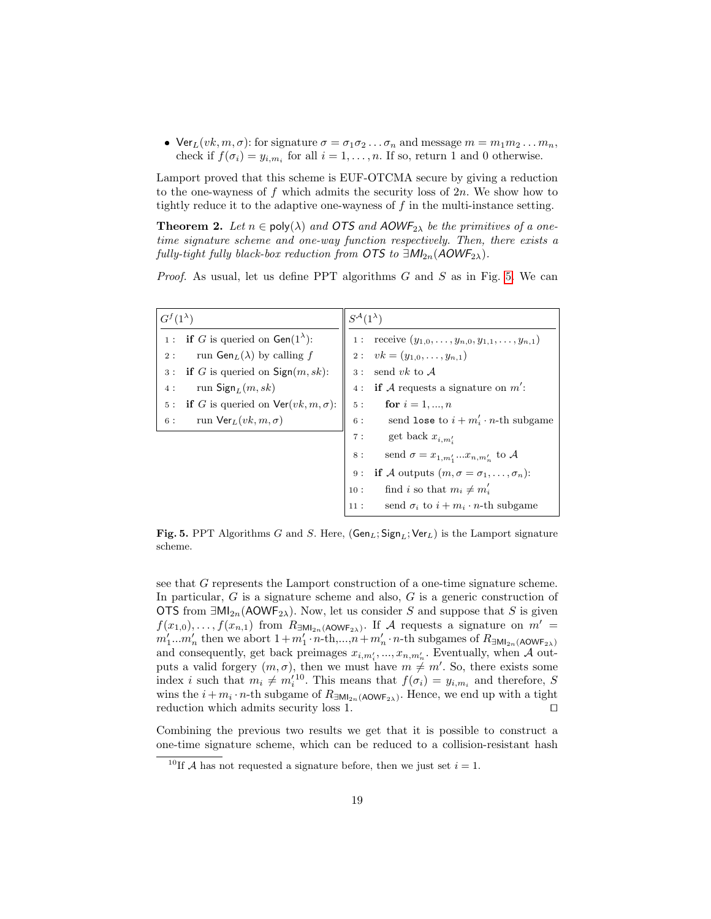•  $\text{Ver}_L(vk, m, \sigma)$ : for signature  $\sigma = \sigma_1 \sigma_2 \dots \sigma_n$  and message  $m = m_1 m_2 \dots m_n$ , check if  $f(\sigma_i) = y_{i,m_i}$  for all  $i = 1, \ldots, n$ . If so, return 1 and 0 otherwise.

Lamport proved that this scheme is EUF-OTCMA secure by giving a reduction to the one-wayness of  $f$  which admits the security loss of  $2n$ . We show how to tightly reduce it to the adaptive one-wayness of  $f$  in the multi-instance setting.

**Theorem 2.** Let  $n \in \text{poly}(\lambda)$  and OTS and AOWF<sub>2 $\lambda$ </sub> be the primitives of a onetime signature scheme and one-way function respectively. Then, there exists a fully-tight fully black-box reduction from OTS to  $\exists Ml_{2n}(AOWF_{2\lambda})$ .

*Proof.* As usual, let us define PPT algorithms  $G$  and  $S$  as in Fig. [5.](#page-18-0) We can

| $G^{f}(1^{\lambda})$                                     | $S^{\mathcal{A}}(1^{\lambda})$                                  |
|----------------------------------------------------------|-----------------------------------------------------------------|
| 1: if G is queried on $Gen(1^{\lambda})$ :               | 1 : receive $(y_{1,0},\ldots,y_{n,0},y_{1,1},\ldots,y_{n,1})$   |
| run Gen <sub>L</sub> ( $\lambda$ ) by calling f<br>2:    | 2: $vk = (y_{1,0}, \ldots, y_{n,1})$                            |
| if G is queried on $Sign(m, sk)$ :<br>3:                 | send vk to $A$<br>3:                                            |
| run Sign <sub>L</sub> $(m, sk)$<br>4 :                   | if A requests a signature on $m'$ :<br>4:                       |
| if G is queried on $\textsf{Ver}(vk, m, \sigma)$ :<br>5: | for $i = 1, , n$<br>5:                                          |
| run Ver $L(vk, m, \sigma)$<br>6 :                        | send lose to $i + m'_i \cdot n$ -th subgame<br>6:               |
|                                                          | get back $x_{i,m'}$<br>7:                                       |
|                                                          | send $\sigma = x_{1,m'_1}x_{n,m'_n}$ to A<br>8 :                |
|                                                          | if A outputs $(m, \sigma = \sigma_1, \ldots, \sigma_n)$ :<br>9: |
|                                                          | find i so that $m_i \neq m'_i$<br>10:                           |
|                                                          | send $\sigma_i$ to $i + m_i \cdot n$ -th subgame<br>11:         |

<span id="page-18-0"></span>Fig. 5. PPT Algorithms G and S. Here,  $(\mathsf{Gen}_L; \mathsf{Sign}_L; \mathsf{Ver}_L)$  is the Lamport signature scheme.

see that G represents the Lamport construction of a one-time signature scheme. In particular,  $G$  is a signature scheme and also,  $G$  is a generic construction of OTS from  $\exists Ml_{2n}(AOWF_{2\lambda})$ . Now, let us consider S and suppose that S is given  $f(x_{1,0}), \ldots, f(x_{n,1})$  from  $R_{\exists \mathsf{ML}_{2n}(\mathsf{AOWF}_{2\lambda})}$ . If A requests a signature on  $m' =$  $m'_1...m'_n$  then we abort  $1+m'_1 \cdot n$ -th,..., $n+m'_n \cdot n$ -th subgames of  $R_{\exists \text{MI}_{2n}(\text{AOWF}_{2\lambda})}$ and consequently, get back preimages  $x_{i,m'_i},...,x_{n,m'_n}$ . Eventually, when A outputs a valid forgery  $(m, \sigma)$ , then we must have  $m \neq m'$ . So, there exists some index *i* such that  $m_i \neq m_i^{'10}$ . This means that  $f(\sigma_i) = y_{i,m_i}$  and therefore, S wins the  $i + m_i \cdot n$ -th subgame of  $R_{\exists \text{MI}_{2n}(\text{AOWF}_{2\lambda})}$ . Hence, we end up with a tight reduction which admits security loss 1.  $\Box$ 

Combining the previous two results we get that it is possible to construct a one-time signature scheme, which can be reduced to a collision-resistant hash

<sup>&</sup>lt;sup>10</sup>If A has not requested a signature before, then we just set  $i = 1$ .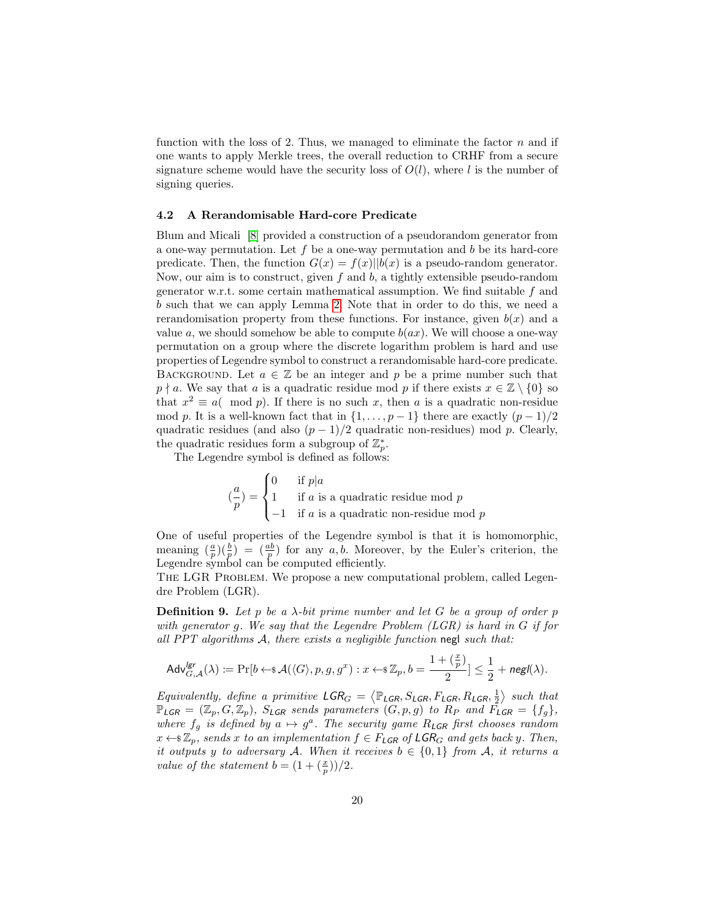function with the loss of 2. Thus, we managed to eliminate the factor  $n$  and if one wants to apply Merkle trees, the overall reduction to CRHF from a secure signature scheme would have the security loss of  $O(l)$ , where l is the number of signing queries.

## 4.2 A Rerandomisable Hard-core Predicate

Blum and Micali [\[8\]](#page-27-7) provided a construction of a pseudorandom generator from a one-way permutation. Let  $f$  be a one-way permutation and  $b$  be its hard-core predicate. Then, the function  $G(x) = f(x)||b(x)$  is a pseudo-random generator. Now, our aim is to construct, given  $f$  and  $b$ , a tightly extensible pseudo-random generator w.r.t. some certain mathematical assumption. We find suitable f and b such that we can apply Lemma [2.](#page-14-0) Note that in order to do this, we need a rerandomisation property from these functions. For instance, given  $b(x)$  and a value a, we should somehow be able to compute  $b(ax)$ . We will choose a one-way permutation on a group where the discrete logarithm problem is hard and use properties of Legendre symbol to construct a rerandomisable hard-core predicate. BACKGROUND. Let  $a \in \mathbb{Z}$  be an integer and p be a prime number such that  $p \nmid a$ . We say that a is a quadratic residue mod p if there exists  $x \in \mathbb{Z} \setminus \{0\}$  so that  $x^2 \equiv a \pmod{p}$ . If there is no such x, then a is a quadratic non-residue mod p. It is a well-known fact that in  $\{1, \ldots, p-1\}$  there are exactly  $(p-1)/2$ quadratic residues (and also  $(p-1)/2$  quadratic non-residues) mod p. Clearly, the quadratic residues form a subgroup of  $\mathbb{Z}_p^*$ .

The Legendre symbol is defined as follows:

 $\left(\frac{a}{a}\right)$  $\frac{a}{p}) =$  $\sqrt{ }$  $\int$  $\overline{a}$ 0 if  $p|a$ 1 if  $a$  is a quadratic residue mod  $p$  $-1$  if a is a quadratic non-residue mod p

One of useful properties of the Legendre symbol is that it is homomorphic, meaning  $(\frac{a}{p})(\frac{b}{p}) = (\frac{ab}{p})$  for any a,b. Moreover, by the Euler's criterion, the Legendre symbol can be computed efficiently.

THE LGR PROBLEM. We propose a new computational problem, called Legendre Problem (LGR).

**Definition 9.** Let p be a  $\lambda$ -bit prime number and let G be a group of order p with generator g. We say that the Legendre Problem (LGR) is hard in G if for all PPT algorithms A, there exists a negligible function negl such that:

$$
\mathsf{Adv}^{\mathsf{Igr}}_{G,\mathcal{A}}(\lambda) \coloneqq \Pr[b \leftarrow \!\! \mathsf{s}\, \mathcal{A}(\langle G \rangle, p, g, g^x) : x \leftarrow \!\! \mathsf{s}\, \mathbb{Z}_p, b = \frac{1 + (\frac{x}{p})}{2}] \leq \frac{1}{2} + \mathsf{negl}(\lambda).
$$

Equivalently, define a primitive  $\mathsf{LGR}_G = \langle \mathbb{P}_{\mathsf{LGR}}, S_{\mathsf{LGR}}, F_{\mathsf{LGR}}, R_{\mathsf{LGR}}, \frac{1}{2} \rangle$  such that  $\mathbb{P}_{\mathsf{LGR}} = (\mathbb{Z}_p, G, \mathbb{Z}_p)$ ,  $S_{\mathsf{LGR}}$  sends parameters  $(G, p, g)$  to  $R_P$  and  $\tilde{F}_{\mathsf{LGR}} = \{f_g\}$ , where  $f_g$  is defined by  $a \mapsto g^a$ . The security game  $R_{\text{LGR}}$  first chooses random  $x \leftarrow \mathcal{Z}_p$ , sends x to an implementation  $f \in F_{\mathsf{LGR}}$  of  $\mathsf{LGR}_G$  and gets back y. Then, it outputs y to adversary A. When it receives  $b \in \{0,1\}$  from A, it returns a value of the statement  $b = (1 + (\frac{x}{p}))/2$ .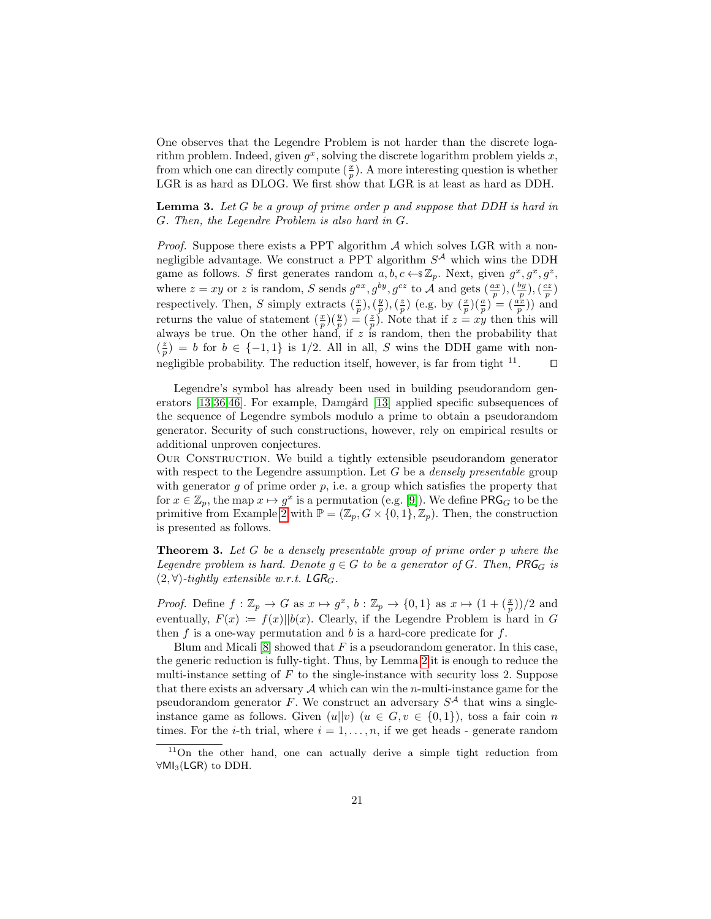One observes that the Legendre Problem is not harder than the discrete logarithm problem. Indeed, given  $g^x$ , solving the discrete logarithm problem yields x, from which one can directly compute  $(\frac{x}{p})$ . A more interesting question is whether LGR is as hard as DLOG. We first show that LGR is at least as hard as DDH.

**Lemma 3.** Let G be a group of prime order p and suppose that DDH is hard in G. Then, the Legendre Problem is also hard in G.

*Proof.* Suppose there exists a PPT algorithm  $A$  which solves LGR with a nonnegligible advantage. We construct a PPT algorithm  $S^{\mathcal{A}}$  which wins the DDH game as follows. S first generates random  $a, b, c \leftarrow \mathscr{Z}_p$ . Next, given  $g^x, g^x, g^z$ , where  $z = xy$  or z is random, S sends  $g^{ax}, g^{by}, g^{cz}$  to A and gets  $(\frac{ax}{p}), (\frac{by}{p}), (\frac{cz}{p})$ respectively. Then, S simply extracts  $(\frac{x}{p}),(\frac{y}{p}),(\frac{z}{p})$  (e.g. by  $(\frac{x}{p})(\frac{a}{p})^{\prime} = (\frac{a\hat{x}}{p})$ ) and returns the value of statement  $(\frac{x}{p})(\frac{y}{p}) = (\frac{z}{p})$ . Note that if  $z = xy$  then this will always be true. On the other hand, if  $z$  is random, then the probability that  $\binom{z}{p} = b$  for  $b \in \{-1,1\}$  is 1/2. All in all, S wins the DDH game with nonnegligible probability. The reduction itself, however, is far from tight  $^{11}$ .  $\Box$ 

Legendre's symbol has already been used in building pseudorandom generators  $[13,36,46]$  $[13,36,46]$  $[13,36,46]$ . For example, Damgård  $[13]$  applied specific subsequences of the sequence of Legendre symbols modulo a prime to obtain a pseudorandom generator. Security of such constructions, however, rely on empirical results or additional unproven conjectures.

Our Construction. We build a tightly extensible pseudorandom generator with respect to the Legendre assumption. Let  $G$  be a *densely presentable* group with generator q of prime order  $p$ , i.e. a group which satisfies the property that for  $x \in \mathbb{Z}_p$ , the map  $x \mapsto g^x$  is a permutation (e.g. [\[9\]](#page-27-13)). We define PRG<sub>G</sub> to be the primitive from Example [2](#page-13-0) with  $\mathbb{P} = (\mathbb{Z}_p, G \times \{0,1\}, \mathbb{Z}_p)$ . Then, the construction is presented as follows.

**Theorem 3.** Let G be a densely presentable group of prime order p where the Legendre problem is hard. Denote  $g \in G$  to be a generator of G. Then,  $PRG_G$  is  $(2, \forall)$ -tightly extensible w.r.t. LGR<sub>G</sub>.

*Proof.* Define  $f : \mathbb{Z}_p \to G$  as  $x \mapsto g^x$ ,  $b : \mathbb{Z}_p \to \{0,1\}$  as  $x \mapsto (1 + (\frac{x}{p}))/2$  and eventually,  $F(x) := f(x)||b(x)$ . Clearly, if the Legendre Problem is hard in G then f is a one-way permutation and b is a hard-core predicate for f.

Blum and Micali  $[8]$  showed that F is a pseudorandom generator. In this case, the generic reduction is fully-tight. Thus, by Lemma [2](#page-14-0) it is enough to reduce the multi-instance setting of  $F$  to the single-instance with security loss 2. Suppose that there exists an adversary  $A$  which can win the *n*-multi-instance game for the pseudorandom generator  $F$ . We construct an adversary  $S^{\mathcal{A}}$  that wins a singleinstance game as follows. Given  $(u||v)$   $(u \in G, v \in \{0,1\})$ , toss a fair coin n times. For the *i*-th trial, where  $i = 1, \ldots, n$ , if we get heads - generate random

<sup>11</sup>On the other hand, one can actually derive a simple tight reduction from ∀MI3(LGR) to DDH.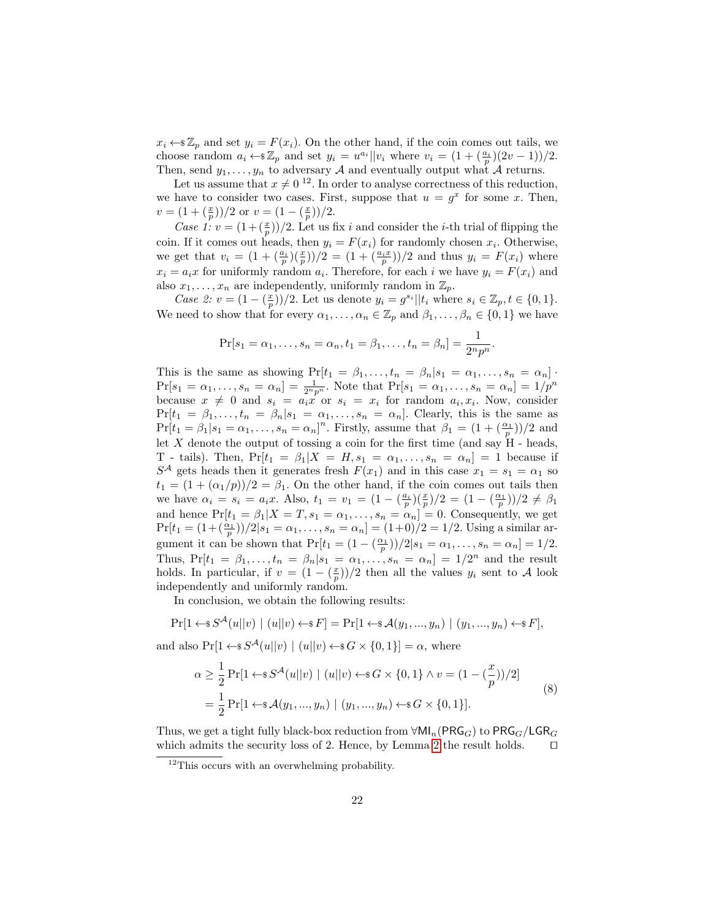$x_i \leftarrow \mathcal{Z}_p$  and set  $y_i = F(x_i)$ . On the other hand, if the coin comes out tails, we choose random  $a_i \leftarrow \mathcal{Z}_p$  and set  $y_i = u^{a_i} || v_i$  where  $v_i = (1 + (\frac{a_i}{p})(2v - 1))/2$ . Then, send  $y_1, \ldots, y_n$  to adversary A and eventually output what A returns.

Let us assume that  $x \neq 0^{12}$ . In order to analyse correctness of this reduction, we have to consider two cases. First, suppose that  $u = g^x$  for some x. Then,  $v = (1 + (\frac{x}{p}))/2$  or  $v = (1 - (\frac{x}{p}))/2$ .

Case 1:  $v = (1 + (\frac{x}{p}))/2$ . Let us fix i and consider the *i*-th trial of flipping the coin. If it comes out heads, then  $y_i = F(x_i)$  for randomly chosen  $x_i$ . Otherwise, we get that  $v_i = (1 + (\frac{a_i}{p})(\frac{x}{p}))/2 = (1 + (\frac{a_i x}{p}))/2$  and thus  $y_i = F(x_i)$  where  $x_i = a_i x$  for uniformly random  $a_i$ . Therefore, for each i we have  $y_i = F(x_i)$  and also  $x_1, \ldots, x_n$  are independently, uniformly random in  $\mathbb{Z}_p$ .

Case 2:  $v = (1 - (\frac{x}{p}))/2$ . Let us denote  $y_i = g^{s_i} || t_i$  where  $s_i \in \mathbb{Z}_p, t \in \{0, 1\}$ . We need to show that for every  $\alpha_1, \ldots, \alpha_n \in \mathbb{Z}_p$  and  $\beta_1, \ldots, \beta_n \in \{0, 1\}$  we have

$$
Pr[s_1 = \alpha_1, ..., s_n = \alpha_n, t_1 = \beta_1, ..., t_n = \beta_n] = \frac{1}{2^n p^n}.
$$

This is the same as showing  $Pr[t_1 = \beta_1, \ldots, t_n = \beta_n | s_1 = \alpha_1, \ldots, s_n = \alpha_n].$  $Pr[s_1 = \alpha_1, ..., s_n = \alpha_n] = \frac{1}{2^n p^n}$ . Note that  $Pr[s_1 = \alpha_1, ..., s_n = \alpha_n] = 1/p^n$ because  $x \neq 0$  and  $s_i = a_i x$  or  $s_i = x_i$  for random  $a_i, x_i$ . Now, consider  $Pr[t_1 = \beta_1, \ldots, t_n = \beta_n | s_1 = \alpha_1, \ldots, s_n = \alpha_n].$  Clearly, this is the same as  $\Pr[t_1 = \beta_1 | s_1 = \alpha_1, \ldots, s_n = \alpha_n]^n$ . Firstly, assume that  $\beta_1 = (1 + (\frac{\alpha_1}{p}))/2$  and let  $X$  denote the output of tossing a coin for the first time (and say  $H$  - heads, T - tails). Then,  $Pr[t_1 = \beta_1 | X = H, s_1 = \alpha_1, \ldots, s_n = \alpha_n] = 1$  because if  $S^{\mathcal{A}}$  gets heads then it generates fresh  $F(x_1)$  and in this case  $x_1 = s_1 = \alpha_1$  so  $t_1 = (1 + (\alpha_1/p))/2 = \beta_1$ . On the other hand, if the coin comes out tails then we have  $\alpha_i = s_i = a_i x$ . Also,  $t_1 = v_1 = (1 - (\frac{a_i}{p})(\frac{x}{p})/2 = (1 - (\frac{\alpha_1}{p}))/2 \neq \beta_1$ and hence  $Pr[t_1 = \beta_1 | X = T, s_1 = \alpha_1, \ldots, s_n = \alpha_n] = 0$ . Consequently, we get  $Pr[t_1 = (1 + (\frac{\alpha_1}{p}))/2 | s_1 = \alpha_1, \ldots, s_n = \alpha_n] = (1+0)/2 = 1/2$ . Using a similar argument it can be shown that  $Pr[t_1 = (1 - (\frac{\alpha_1}{p}))/2 | s_1 = \alpha_1, \ldots, s_n = \alpha_n] = 1/2$ . Thus,  $Pr[t_1 = \beta_1, \ldots, t_n = \beta_n | s_1 = \alpha_1, \ldots, s_n = \alpha_n] = 1/2^n$  and the result holds. In particular, if  $v = (1 - (\frac{x}{p}))/2$  then all the values  $y_i$  sent to A look independently and uniformly random.

In conclusion, we obtain the following results:

$$
\Pr[1 \leftarrow s S^{\mathcal{A}}(u||v) \mid (u||v) \leftarrow s F] = \Pr[1 \leftarrow s \mathcal{A}(y_1, ..., y_n) \mid (y_1, ..., y_n) \leftarrow s F],
$$
  
and also 
$$
\Pr[1 \leftarrow s S^{\mathcal{A}}(u||v) \mid (u||v) \leftarrow s G \times \{0, 1\}] = \alpha
$$
, where

$$
\alpha \ge \frac{1}{2} \Pr[1 \leftarrow s S^{\mathcal{A}}(u||v) \mid (u||v) \leftarrow s G \times \{0, 1\} \land v = (1 - \left(\frac{x}{p}\right))/2]
$$
  
=  $\frac{1}{2} \Pr[1 \leftarrow s \mathcal{A}(y_1, ..., y_n) \mid (y_1, ..., y_n) \leftarrow s G \times \{0, 1\}].$  (8)

Thus, we get a tight fully black-box reduction from  $\forall M I_n(PRG_G)$  to  $PRG_G/LGR_G$ which admits the security loss of [2](#page-14-0). Hence, by Lemma 2 the result holds.  $\square$ 

<sup>&</sup>lt;sup>12</sup>This occurs with an overwhelming probability.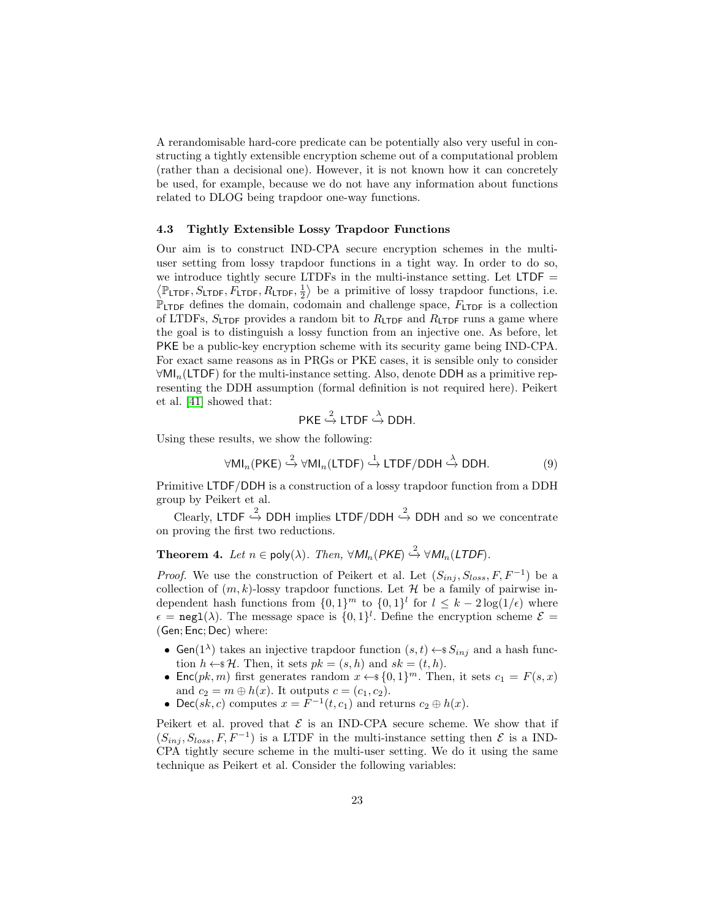A rerandomisable hard-core predicate can be potentially also very useful in constructing a tightly extensible encryption scheme out of a computational problem (rather than a decisional one). However, it is not known how it can concretely be used, for example, because we do not have any information about functions related to DLOG being trapdoor one-way functions.

#### 4.3 Tightly Extensible Lossy Trapdoor Functions

Our aim is to construct IND-CPA secure encryption schemes in the multiuser setting from lossy trapdoor functions in a tight way. In order to do so, we introduce tightly secure LTDFs in the multi-instance setting. Let  $LTDF =$  $\langle$  PLTDF,  $F$ LTDF,  $R$ LTDF,  $\frac{1}{2}$  be a primitive of lossy trapdoor functions, i.e.  $\mathbb{P}_{\text{LTDF}}$  defines the domain, codomain and challenge space,  $F_{\text{LTDF}}$  is a collection of LTDFs,  $S_{\text{LTDF}}$  provides a random bit to  $R_{\text{LTDF}}$  and  $R_{\text{LTDF}}$  runs a game where the goal is to distinguish a lossy function from an injective one. As before, let PKE be a public-key encryption scheme with its security game being IND-CPA. For exact same reasons as in PRGs or PKE cases, it is sensible only to consider  $\forall$ MI<sub>n</sub>(LTDF) for the multi-instance setting. Also, denote DDH as a primitive representing the DDH assumption (formal definition is not required here). Peikert et al. [\[41\]](#page-29-11) showed that:

$$
\mathsf{PKE} \stackrel{2}{\hookrightarrow} \mathsf{LTOF} \stackrel{\lambda}{\hookrightarrow} \mathsf{DDH}.
$$

Using these results, we show the following:

<span id="page-22-1"></span>
$$
\forall \text{MI}_n(\text{PKE}) \stackrel{2}{\hookrightarrow} \forall \text{MI}_n(\text{LTDF}) \stackrel{1}{\hookrightarrow} \text{LTDF} / \text{DDH} \stackrel{\lambda}{\hookrightarrow} \text{DDH}. \tag{9}
$$

Primitive LTDF/DDH is a construction of a lossy trapdoor function from a DDH group by Peikert et al.

Clearly, LTDF  $\stackrel{2}{\hookrightarrow}$  DDH implies LTDF/DDH  $\stackrel{2}{\hookrightarrow}$  DDH and so we concentrate on proving the first two reductions.

<span id="page-22-0"></span>Theorem 4. Let  $n \in \text{poly}(\lambda)$ . Then,  $\forall M l_n(PKE) \stackrel{2}{\hookrightarrow} \forall M l_n(\text{LTDF})$ .

*Proof.* We use the construction of Peikert et al. Let  $(S_{inj}, S_{loss}, F, F^{-1})$  be a collection of  $(m, k)$ -lossy trapdoor functions. Let  $\mathcal H$  be a family of pairwise independent hash functions from  $\{0,1\}^m$  to  $\{0,1\}^l$  for  $l \leq k - 2\log(1/\epsilon)$  where  $\epsilon = \texttt{negl}(\lambda)$ . The message space is  $\{0, 1\}^l$ . Define the encryption scheme  $\mathcal{E} =$ (Gen; Enc; Dec) where:

- Gen(1<sup> $\lambda$ </sup>) takes an injective trapdoor function  $(s, t) \leftarrow s S_{inj}$  and a hash function  $h \leftarrow \mathcal{H}$ . Then, it sets  $pk = (s, h)$  and  $sk = (t, h)$ .
- Enc(pk, m) first generates random  $x \leftarrow \{0, 1\}^m$ . Then, it sets  $c_1 = F(s, x)$ and  $c_2 = m \oplus h(x)$ . It outputs  $c = (c_1, c_2)$ .
- Dec(sk, c) computes  $x = F^{-1}(t, c_1)$  and returns  $c_2 \oplus h(x)$ .

Peikert et al. proved that  $\mathcal E$  is an IND-CPA secure scheme. We show that if  $(S_{inj}, S_{loss}, F, F^{-1})$  is a LTDF in the multi-instance setting then  $\mathcal E$  is a IND-CPA tightly secure scheme in the multi-user setting. We do it using the same technique as Peikert et al. Consider the following variables: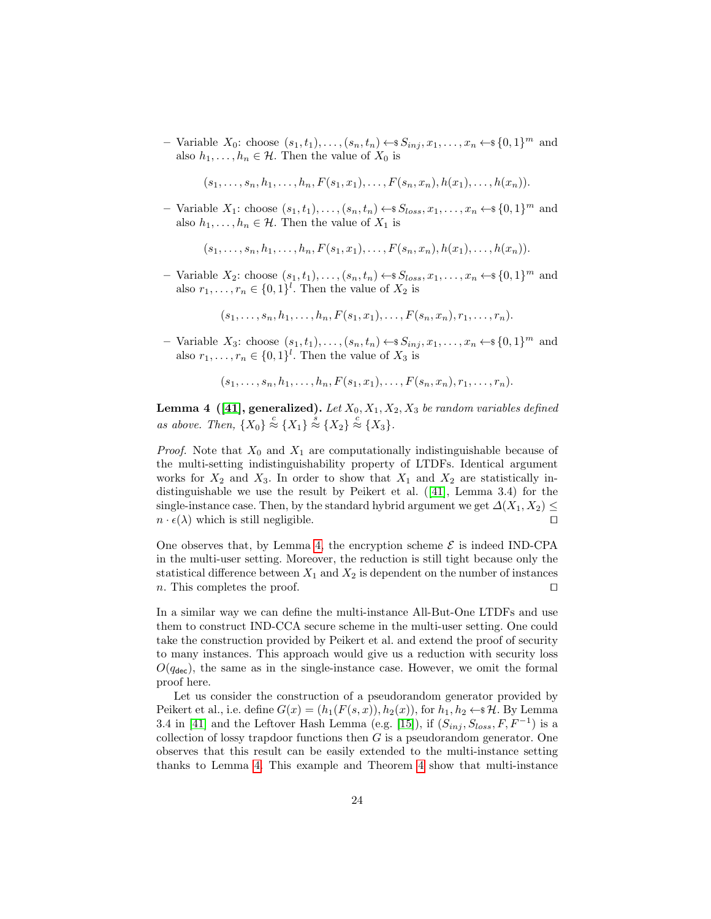– Variable  $X_0$ : choose  $(s_1, t_1), \ldots, (s_n, t_n)$  ←  $S_{inj}, x_1, \ldots, x_n$  ←  $\{0, 1\}^m$  and also  $h_1, \ldots, h_n \in \mathcal{H}$ . Then the value of  $X_0$  is

$$
(s_1, \ldots, s_n, h_1, \ldots, h_n, F(s_1, x_1), \ldots, F(s_n, x_n), h(x_1), \ldots, h(x_n)).
$$

– Variable  $X_1$ : choose  $(s_1, t_1), \ldots, (s_n, t_n) \leftarrow s S_{loss}, x_1, \ldots, x_n \leftarrow s \{0, 1\}^m$  and also  $h_1, \ldots, h_n \in \mathcal{H}$ . Then the value of  $X_1$  is

$$
(s_1, \ldots, s_n, h_1, \ldots, h_n, F(s_1, x_1), \ldots, F(s_n, x_n), h(x_1), \ldots, h(x_n)).
$$

– Variable  $X_2$ : choose  $(s_1, t_1), \ldots, (s_n, t_n) \leftarrow s S_{loss}, x_1, \ldots, x_n \leftarrow s \{0, 1\}^m$  and also  $r_1, \ldots, r_n \in \{0,1\}^l$ . Then the value of  $X_2$  is

$$
(s_1, \ldots, s_n, h_1, \ldots, h_n, F(s_1, x_1), \ldots, F(s_n, x_n), r_1, \ldots, r_n).
$$

– Variable  $X_3$ : choose  $(s_1, t_1), \ldots, (s_n, t_n)$  ←  $S_{inj}, x_1, \ldots, x_n$  ←  $\{0, 1\}^m$  and also  $r_1, \ldots, r_n \in \{0,1\}^l$ . Then the value of  $X_3$  is

$$
(s_1, \ldots, s_n, h_1, \ldots, h_n, F(s_1, x_1), \ldots, F(s_n, x_n), r_1, \ldots, r_n).
$$

<span id="page-23-0"></span>**Lemma 4** ([\[41\]](#page-29-11), generalized). Let  $X_0, X_1, X_2, X_3$  be random variables defined as above. Then,  $\{X_0\} \stackrel{c}{\approx} \{X_1\} \stackrel{s}{\approx} \{X_2\} \stackrel{c}{\approx} \{X_3\}.$ 

*Proof.* Note that  $X_0$  and  $X_1$  are computationally indistinguishable because of the multi-setting indistinguishability property of LTDFs. Identical argument works for  $X_2$  and  $X_3$ . In order to show that  $X_1$  and  $X_2$  are statistically indistinguishable we use the result by Peikert et al. ([\[41\]](#page-29-11), Lemma 3.4) for the single-instance case. Then, by the standard hybrid argument we get  $\Delta(X_1, X_2) \leq$  $n \cdot \epsilon(\lambda)$  which is still negligible.

One observes that, by Lemma [4,](#page-23-0) the encryption scheme  $\mathcal E$  is indeed IND-CPA in the multi-user setting. Moreover, the reduction is still tight because only the statistical difference between  $X_1$  and  $X_2$  is dependent on the number of instances n. This completes the proof.  $\Box$ 

In a similar way we can define the multi-instance All-But-One LTDFs and use them to construct IND-CCA secure scheme in the multi-user setting. One could take the construction provided by Peikert et al. and extend the proof of security to many instances. This approach would give us a reduction with security loss  $O(q_{\text{dec}})$ , the same as in the single-instance case. However, we omit the formal proof here.

Let us consider the construction of a pseudorandom generator provided by Peikert et al., i.e. define  $G(x) = (h_1(F(s, x)), h_2(x))$ , for  $h_1, h_2 \leftarrow \mathcal{H}$ . By Lemma 3.4 in [\[41\]](#page-29-11) and the Leftover Hash Lemma (e.g. [\[15\]](#page-28-15)), if  $(S_{inj}, S_{loss}, F, F^{-1})$  is a collection of lossy trapdoor functions then  $G$  is a pseudorandom generator. One observes that this result can be easily extended to the multi-instance setting thanks to Lemma [4.](#page-23-0) This example and Theorem [4](#page-22-0) show that multi-instance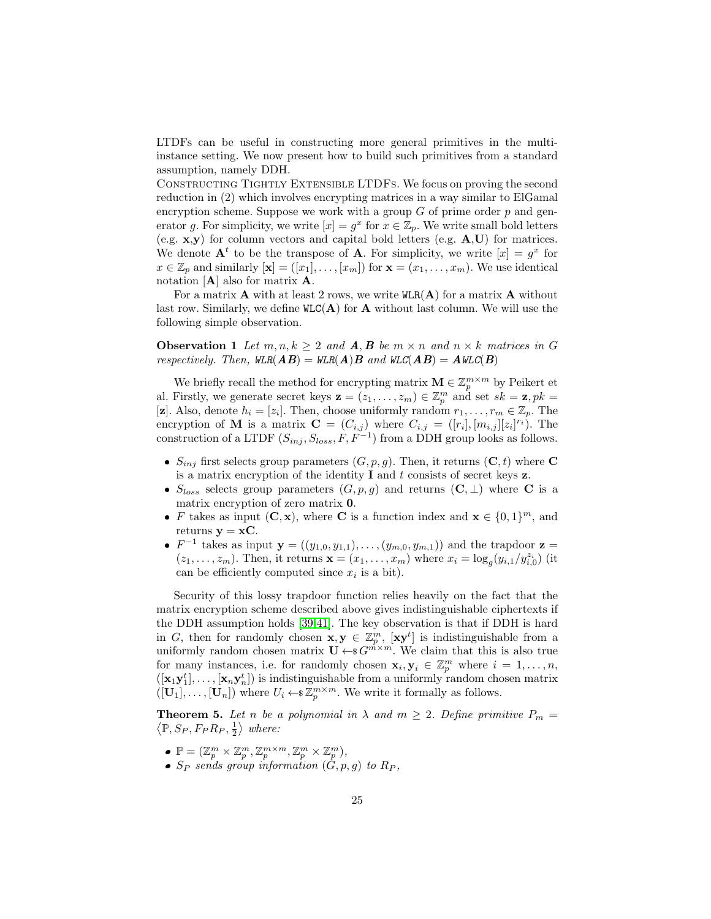LTDFs can be useful in constructing more general primitives in the multiinstance setting. We now present how to build such primitives from a standard assumption, namely DDH.

CONSTRUCTING TIGHTLY EXTENSIBLE LTDFS. We focus on proving the second reduction in (2) which involves encrypting matrices in a way similar to ElGamal encryption scheme. Suppose we work with a group  $G$  of prime order  $p$  and generator g. For simplicity, we write  $[x] = g^x$  for  $x \in \mathbb{Z}_p$ . We write small bold letters (e.g.  $x,y$ ) for column vectors and capital bold letters (e.g.  $A,U$ ) for matrices. We denote  $A^t$  to be the transpose of A. For simplicity, we write  $[x] = g^x$  for  $x \in \mathbb{Z}_p$  and similarly  $[\mathbf{x}] = ([x_1], \ldots, [x_m])$  for  $\mathbf{x} = (x_1, \ldots, x_m)$ . We use identical notation [A] also for matrix A.

For a matrix **A** with at least 2 rows, we write  $WLR(A)$  for a matrix **A** without last row. Similarly, we define  $WLC(A)$  for A without last column. We will use the following simple observation.

**Observation 1** Let  $m, n, k \geq 2$  and **A**, **B** be  $m \times n$  and  $n \times k$  matrices in G respectively. Then,  $WLR(AB) = WLR(A)B$  and  $WLC(AB) = AWLC(B)$ 

We briefly recall the method for encrypting matrix  $\mathbf{M} \in \mathbb{Z}_p^{m \times m}$  by Peikert et al. Firstly, we generate secret keys  $\mathbf{z} = (z_1, \ldots, z_m) \in \mathbb{Z}_p^m$  and set  $sk = \mathbf{z}, pk =$ [**z**]. Also, denote  $h_i = [z_i]$ . Then, choose uniformly random  $r_1, \ldots, r_m \in \mathbb{Z}_p$ . The encryption of M is a matrix  $\mathbf{C} = (C_{i,j})$  where  $C_{i,j} = ([r_i], [m_{i,j}][z_i]^{r_i})$ . The construction of a LTDF  $(S_{inj}, S_{loss}, F, F^{-1})$  from a DDH group looks as follows.

- $S_{inj}$  first selects group parameters  $(G, p, g)$ . Then, it returns  $(C, t)$  where C is a matrix encryption of the identity  $I$  and  $t$  consists of secret keys  $z$ .
- $S_{loss}$  selects group parameters  $(G, p, g)$  and returns  $(C, ∥)$  where C is a matrix encryption of zero matrix 0.
- F takes as input  $(C, x)$ , where C is a function index and  $x \in \{0, 1\}^m$ , and returns  $y = xC$ .
- $F^{-1}$  takes as input  $y = ((y_{1,0}, y_{1,1}), \ldots, (y_{m,0}, y_{m,1}))$  and the trapdoor  $z =$  $(z_1, \ldots, z_m)$ . Then, it returns  $\mathbf{x} = (x_1, \ldots, x_m)$  where  $x_i = \log_g(y_{i,1}/y_{i,0}^{z_i})$  (it can be efficiently computed since  $x_i$  is a bit).

Security of this lossy trapdoor function relies heavily on the fact that the matrix encryption scheme described above gives indistinguishable ciphertexts if the DDH assumption holds [\[39,](#page-29-15)[41\]](#page-29-11). The key observation is that if DDH is hard in G, then for randomly chosen  $\mathbf{x}, \mathbf{y} \in \mathbb{Z}_p^m$ ,  $[\mathbf{xy}^t]$  is indistinguishable from a uniformly random chosen matrix  $\mathbf{U} \leftarrow \mathcal{S}G^{m \times m}$ . We claim that this is also true for many instances, i.e. for randomly chosen  $\mathbf{x}_i, \mathbf{y}_i \in \mathbb{Z}_p^m$  where  $i = 1, \ldots, n$ ,  $([\mathbf{x}_1 \mathbf{y}_1^t], \ldots, [\mathbf{x}_n \mathbf{y}_n^t])$  is indistinguishable from a uniformly random chosen matrix  $([{\bf U}_1], \ldots, [{\bf U}_n])$  where  $U_i \leftarrow \mathcal{Z}_p^{m \times m}$ . We write it formally as follows.

**Theorem 5.** Let n be a polynomial in  $\lambda$  and  $m \geq 2$ . Define primitive  $P_m =$  $\langle \mathbb{P}, S_P, F_P R_P, \frac{1}{2} \rangle$  where:

- 
- <span id="page-24-0"></span>•  $\mathbb{P} = (\mathbb{Z}_p^m \times \mathbb{Z}_p^m, \mathbb{Z}_p^m \times \mathbb{Z}_p^m \times \mathbb{Z}_p^m),$ <br>•  $S_P$  sends group information  $(G, p, g)$  to  $R_P$ ,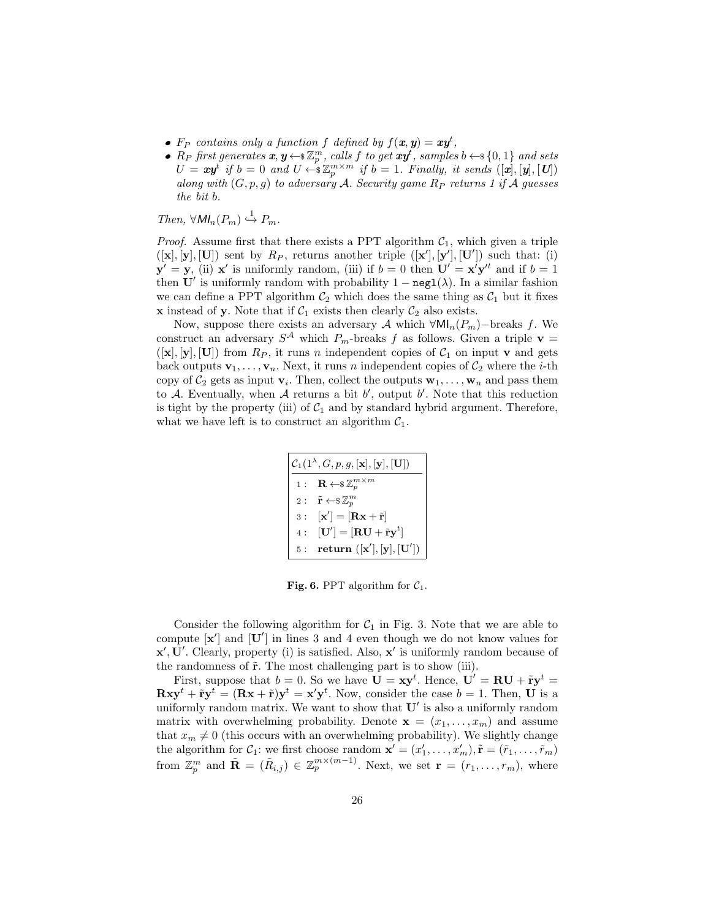- $F_P$  contains only a function f defined by  $f(x, y) = xy^t$ ,
- R<sub>P</sub> first generates  $x, y \leftarrow \$\mathbb{Z}_p^m$ , calls f to get  $xy^t$ , samples b  $\leftarrow$ § {0, 1} and sets  $U = xy^t$  if  $b = 0$  and  $U \leftarrow \mathscr{Z}_p^{m \times m}$  if  $b = 1$ . Finally, it sends  $([\mathbf{x}], [\mathbf{y}], [\mathbf{U}])$ along with  $(G, p, g)$  to adversary A. Security game  $R_P$  returns 1 if A guesses the bit b.

Then,  $\forall M l_n(P_m) \stackrel{1}{\hookrightarrow} P_m$ .

*Proof.* Assume first that there exists a PPT algorithm  $C_1$ , which given a triple  $([\mathbf{x}], [\mathbf{y}], [\mathbf{U}])$  sent by  $R_P$ , returns another triple  $([\mathbf{x}'], [\mathbf{y}'], [\mathbf{U}'])$  such that: (i)  $\mathbf{y}' = \mathbf{y}$ , (ii)  $\mathbf{x}'$  is uniformly random, (iii) if  $b = 0$  then  $\mathbf{U}' = \mathbf{x}'\mathbf{y}'^t$  and if  $b = 1$ then U' is uniformly random with probability  $1 - neg1(\lambda)$ . In a similar fashion we can define a PPT algorithm  $C_2$  which does the same thing as  $C_1$  but it fixes x instead of y. Note that if  $C_1$  exists then clearly  $C_2$  also exists.

Now, suppose there exists an adversary A which  $\forall M I_n(P_m)$ –breaks f. We construct an adversary  $S^{\mathcal{A}}$  which  $P_m$ -breaks f as follows. Given a triple  $\mathbf{v} =$  $([x], [y], [U])$  from  $R_P$ , it runs n independent copies of  $C_1$  on input v and gets back outputs  $\mathbf{v}_1, \ldots, \mathbf{v}_n$ . Next, it runs n independent copies of  $\mathcal{C}_2$  where the *i*-th copy of  $C_2$  gets as input  $\mathbf{v}_i$ . Then, collect the outputs  $\mathbf{w}_1, \ldots, \mathbf{w}_n$  and pass them to A. Eventually, when A returns a bit  $b'$ , output  $b'$ . Note that this reduction is tight by the property (iii) of  $C_1$  and by standard hybrid argument. Therefore, what we have left is to construct an algorithm  $C_1$ .

| $C_1(1^{\lambda}, G, p, g, [\mathbf{x}], [\mathbf{y}], [\mathbf{U}])$ |
|-----------------------------------------------------------------------|
| 1: $\mathbf{R} \leftarrow \mathcal{Z}_n^{m \times m}$                 |
| 2: $\tilde{\mathbf{r}} \leftarrow \mathcal{F} \mathbb{Z}_p^m$         |
| $3: [\mathbf{x}'] = [\mathbf{R}\mathbf{x} + \tilde{\mathbf{r}}]$      |
| 4: $[{\bf U}'] = [{\bf R}{\bf U} + {\tilde{\bf r}}{\bf y}^t]$         |
| 5: return $([x'], [y], [U'])$                                         |

Fig. 6. PPT algorithm for  $C_1$ .

Consider the following algorithm for  $C_1$  in Fig. 3. Note that we are able to compute  $\mathbf{x}'$  and  $\mathbf{U}'$  in lines 3 and 4 even though we do not know values for  $\mathbf{x}'$ ,  $\mathbf{U}'$ . Clearly, property (i) is satisfied. Also,  $\mathbf{x}'$  is uniformly random because of the randomness of  $\tilde{r}$ . The most challenging part is to show (iii).

First, suppose that  $b = 0$ . So we have  $\mathbf{U} = \mathbf{x}\mathbf{y}^t$ . Hence,  $\mathbf{U}' = \mathbf{R}\mathbf{U} + \tilde{\mathbf{r}}\mathbf{y}^t =$  $\mathbf{R} \mathbf{x} \mathbf{y}^t + \tilde{\mathbf{r}} \mathbf{y}^t = (\mathbf{R} \mathbf{x} + \tilde{\mathbf{r}}) \mathbf{y}^t = \mathbf{x}' \mathbf{y}^t$ . Now, consider the case  $b = 1$ . Then, U is a uniformly random matrix. We want to show that  $\mathbf{U}'$  is also a uniformly random matrix with overwhelming probability. Denote  $\mathbf{x} = (x_1, \ldots, x_m)$  and assume that  $x_m \neq 0$  (this occurs with an overwhelming probability). We slightly change the algorithm for  $C_1$ : we first choose random  $\mathbf{x}' = (x'_1, \ldots, x'_m), \tilde{\mathbf{r}} = (\tilde{r}_1, \ldots, \tilde{r}_m)$ from  $\mathbb{Z}_p^m$  and  $\tilde{\mathbf{R}} = (\tilde{R}_{i,j}) \in \mathbb{Z}_p^{m \times (m-1)}$ . Next, we set  $\mathbf{r} = (r_1, \ldots, r_m)$ , where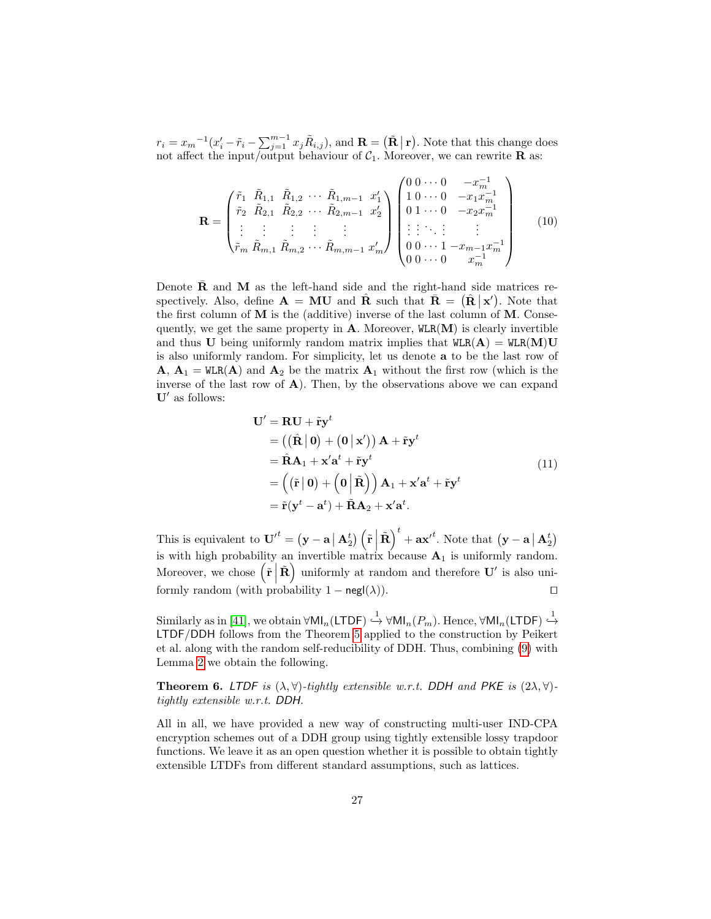$r_i = x_m^{-1}(x_i' - \tilde{r}_i - \sum_{j=1}^{m-1} x_j \tilde{R}_{i,j}),$  and  $\mathbf{R} = (\tilde{\mathbf{R}} | \mathbf{r})$ . Note that this change does not affect the input/output behaviour of  $C_1$ . Moreover, we can rewrite **R** as:

$$
\mathbf{R} = \begin{pmatrix} \tilde{r}_1 & \tilde{R}_{1,1} & \tilde{R}_{1,2} & \cdots & \tilde{R}_{1,m-1} & x_1' \\ \tilde{r}_2 & \tilde{R}_{2,1} & \tilde{R}_{2,2} & \cdots & \tilde{R}_{2,m-1} & x_2' \\ \vdots & \vdots & \vdots & \vdots & \vdots \\ \tilde{r}_m & \tilde{R}_{m,1} & \tilde{R}_{m,2} & \cdots & \tilde{R}_{m,m-1} & x_m' \end{pmatrix} \begin{pmatrix} 0 & 0 & \cdots & 0 & -x_m^{-1} \\ 1 & 0 & \cdots & 0 & -x_1x_m^{-1} \\ 0 & 1 & \cdots & 0 & -x_2x_m^{-1} \\ \vdots & \vdots & \ddots & \vdots & \vdots \\ 0 & 0 & \cdots & 1 & -x_{m-1}x_m^{-1} \\ 0 & 0 & \cdots & 0 & x_m^{-1} \end{pmatrix}
$$
(10)

Denote  $\bar{\mathbf{R}}$  and  $\bar{\mathbf{M}}$  as the left-hand side and the right-hand side matrices respectively. Also, define  $\mathbf{A} = \mathbf{M}\mathbf{U}$  and  $\hat{\mathbf{R}}$  such that  $\bar{\mathbf{R}} = (\hat{\mathbf{R}} | \mathbf{x}')$ . Note that the first column of  $M$  is the (additive) inverse of the last column of  $M$ . Consequently, we get the same property in  $A$ . Moreover,  $WLR(M)$  is clearly invertible and thus U being uniformly random matrix implies that  $WLR(A) = WLR(M)U$ is also uniformly random. For simplicity, let us denote a to be the last row of  $\mathbf{A}, \mathbf{A}_1 = \text{WLR}(\mathbf{A})$  and  $\mathbf{A}_2$  be the matrix  $\mathbf{A}_1$  without the first row (which is the inverse of the last row of  $\bf{A}$ ). Then, by the observations above we can expand  $\mathbf{U}'$  as follows:

$$
\mathbf{U}' = \mathbf{R}\mathbf{U} + \tilde{\mathbf{r}}\mathbf{y}^t
$$
  
= (( $\hat{\mathbf{R}} | \mathbf{0} + (\mathbf{0} | \mathbf{x}')) \mathbf{A} + \tilde{\mathbf{r}}\mathbf{y}^t$   
=  $\hat{\mathbf{R}}\mathbf{A}_1 + \mathbf{x}'\mathbf{a}^t + \tilde{\mathbf{r}}\mathbf{y}^t$   
= (( $\tilde{\mathbf{r}} | \mathbf{0} + (\mathbf{0} | \tilde{\mathbf{R}})) \mathbf{A}_1 + \mathbf{x}'\mathbf{a}^t + \tilde{\mathbf{r}}\mathbf{y}^t$   
=  $\tilde{\mathbf{r}}(\mathbf{y}^t - \mathbf{a}^t) + \tilde{\mathbf{R}}\mathbf{A}_2 + \mathbf{x}'\mathbf{a}^t.$  (11)

This is equivalent to  $\mathbf{U}'^t = (\mathbf{y} - \mathbf{a} | \mathbf{A}_2^t) (\tilde{\mathbf{r}} | \tilde{\mathbf{R}})^t + \mathbf{a}\mathbf{x}'^t$ . Note that  $(\mathbf{y} - \mathbf{a} | \mathbf{A}_2^t)$ is with high probability an invertible matrix because  $A_1$  is uniformly random. Moreover, we chose  $(\tilde{\mathbf{r}} | \tilde{\mathbf{R}})$  uniformly at random and therefore  $\mathbf{U}'$  is also uniformly random (with probability  $1 - \text{negl}(\lambda)$ ).

Similarly as in [\[41\]](#page-29-11), we obtain  $\forall$ MI<sub>n</sub>(LTDF)  $\stackrel{1}{\hookrightarrow} \forall$ MI<sub>n</sub>( $P_m$ ). Hence,  $\forall$ MI<sub>n</sub>(LTDF)  $\stackrel{1}{\hookrightarrow}$ LTDF/DDH follows from the Theorem [5](#page-24-0) applied to the construction by Peikert et al. along with the random self-reducibility of DDH. Thus, combining [\(9\)](#page-22-1) with Lemma [2](#page-14-0) we obtain the following.

**Theorem 6.** LTDF is  $(\lambda, \forall)$ -tightly extensible w.r.t. DDH and PKE is  $(2\lambda, \forall)$ tightly extensible w.r.t. DDH.

All in all, we have provided a new way of constructing multi-user IND-CPA encryption schemes out of a DDH group using tightly extensible lossy trapdoor functions. We leave it as an open question whether it is possible to obtain tightly extensible LTDFs from different standard assumptions, such as lattices.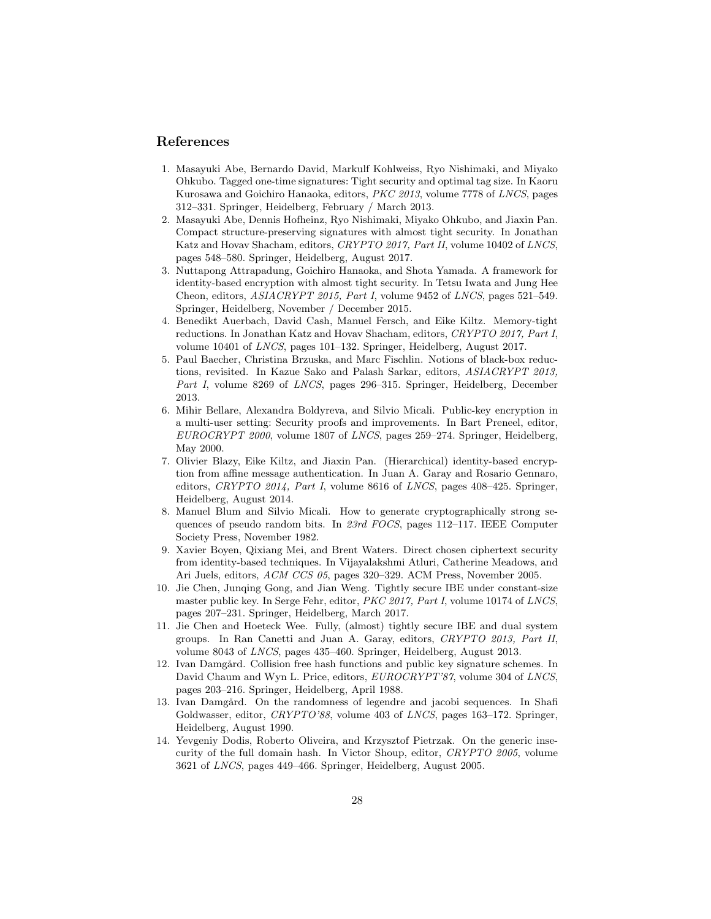# References

- <span id="page-27-2"></span>1. Masayuki Abe, Bernardo David, Markulf Kohlweiss, Ryo Nishimaki, and Miyako Ohkubo. Tagged one-time signatures: Tight security and optimal tag size. In Kaoru Kurosawa and Goichiro Hanaoka, editors, PKC 2013, volume 7778 of LNCS, pages 312–331. Springer, Heidelberg, February / March 2013.
- <span id="page-27-6"></span>2. Masayuki Abe, Dennis Hofheinz, Ryo Nishimaki, Miyako Ohkubo, and Jiaxin Pan. Compact structure-preserving signatures with almost tight security. In Jonathan Katz and Hovav Shacham, editors, CRYPTO 2017, Part II, volume 10402 of LNCS, pages 548–580. Springer, Heidelberg, August 2017.
- <span id="page-27-5"></span>3. Nuttapong Attrapadung, Goichiro Hanaoka, and Shota Yamada. A framework for identity-based encryption with almost tight security. In Tetsu Iwata and Jung Hee Cheon, editors, ASIACRYPT 2015, Part I, volume 9452 of LNCS, pages 521–549. Springer, Heidelberg, November / December 2015.
- <span id="page-27-0"></span>4. Benedikt Auerbach, David Cash, Manuel Fersch, and Eike Kiltz. Memory-tight reductions. In Jonathan Katz and Hovav Shacham, editors, CRYPTO 2017, Part I, volume 10401 of LNCS, pages 101–132. Springer, Heidelberg, August 2017.
- <span id="page-27-11"></span>5. Paul Baecher, Christina Brzuska, and Marc Fischlin. Notions of black-box reductions, revisited. In Kazue Sako and Palash Sarkar, editors, ASIACRYPT 2013, Part I, volume 8269 of LNCS, pages 296–315. Springer, Heidelberg, December 2013.
- <span id="page-27-1"></span>6. Mihir Bellare, Alexandra Boldyreva, and Silvio Micali. Public-key encryption in a multi-user setting: Security proofs and improvements. In Bart Preneel, editor, EUROCRYPT 2000, volume 1807 of LNCS, pages 259–274. Springer, Heidelberg, May 2000.
- <span id="page-27-4"></span>7. Olivier Blazy, Eike Kiltz, and Jiaxin Pan. (Hierarchical) identity-based encryption from affine message authentication. In Juan A. Garay and Rosario Gennaro, editors, CRYPTO 2014, Part I, volume 8616 of LNCS, pages 408–425. Springer, Heidelberg, August 2014.
- <span id="page-27-7"></span>8. Manuel Blum and Silvio Micali. How to generate cryptographically strong sequences of pseudo random bits. In 23rd FOCS, pages 112–117. IEEE Computer Society Press, November 1982.
- <span id="page-27-13"></span>9. Xavier Boyen, Qixiang Mei, and Brent Waters. Direct chosen ciphertext security from identity-based techniques. In Vijayalakshmi Atluri, Catherine Meadows, and Ari Juels, editors, ACM CCS 05, pages 320–329. ACM Press, November 2005.
- <span id="page-27-12"></span>10. Jie Chen, Junqing Gong, and Jian Weng. Tightly secure IBE under constant-size master public key. In Serge Fehr, editor, PKC 2017, Part I, volume 10174 of LNCS, pages 207–231. Springer, Heidelberg, March 2017.
- <span id="page-27-3"></span>11. Jie Chen and Hoeteck Wee. Fully, (almost) tightly secure IBE and dual system groups. In Ran Canetti and Juan A. Garay, editors, CRYPTO 2013, Part II, volume 8043 of LNCS, pages 435–460. Springer, Heidelberg, August 2013.
- <span id="page-27-9"></span>12. Ivan Damgård. Collision free hash functions and public key signature schemes. In David Chaum and Wyn L. Price, editors, EUROCRYPT'87, volume 304 of LNCS, pages 203–216. Springer, Heidelberg, April 1988.
- <span id="page-27-10"></span>13. Ivan Damgård. On the randomness of legendre and jacobi sequences. In Shafi Goldwasser, editor, CRYPTO'88, volume 403 of LNCS, pages 163–172. Springer, Heidelberg, August 1990.
- <span id="page-27-8"></span>14. Yevgeniy Dodis, Roberto Oliveira, and Krzysztof Pietrzak. On the generic insecurity of the full domain hash. In Victor Shoup, editor, CRYPTO 2005, volume 3621 of LNCS, pages 449–466. Springer, Heidelberg, August 2005.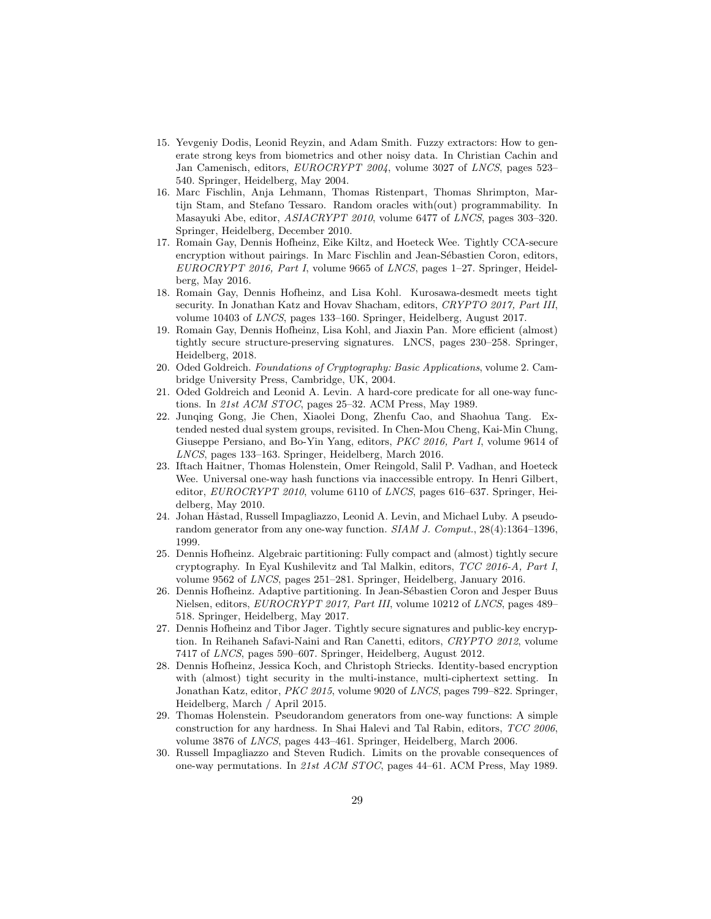- <span id="page-28-15"></span>15. Yevgeniy Dodis, Leonid Reyzin, and Adam Smith. Fuzzy extractors: How to generate strong keys from biometrics and other noisy data. In Christian Cachin and Jan Camenisch, editors, EUROCRYPT 2004, volume 3027 of LNCS, pages 523– 540. Springer, Heidelberg, May 2004.
- <span id="page-28-12"></span>16. Marc Fischlin, Anja Lehmann, Thomas Ristenpart, Thomas Shrimpton, Martijn Stam, and Stefano Tessaro. Random oracles with(out) programmability. In Masayuki Abe, editor, ASIACRYPT 2010, volume 6477 of LNCS, pages 303–320. Springer, Heidelberg, December 2010.
- <span id="page-28-1"></span>17. Romain Gay, Dennis Hofheinz, Eike Kiltz, and Hoeteck Wee. Tightly CCA-secure encryption without pairings. In Marc Fischlin and Jean-Sébastien Coron, editors, EUROCRYPT 2016, Part I, volume 9665 of LNCS, pages 1–27. Springer, Heidelberg, May 2016.
- <span id="page-28-3"></span>18. Romain Gay, Dennis Hofheinz, and Lisa Kohl. Kurosawa-desmedt meets tight security. In Jonathan Katz and Hovav Shacham, editors, CRYPTO 2017, Part III, volume 10403 of LNCS, pages 133–160. Springer, Heidelberg, August 2017.
- <span id="page-28-14"></span>19. Romain Gay, Dennis Hofheinz, Lisa Kohl, and Jiaxin Pan. More efficient (almost) tightly secure structure-preserving signatures. LNCS, pages 230–258. Springer, Heidelberg, 2018.
- <span id="page-28-8"></span>20. Oded Goldreich. Foundations of Cryptography: Basic Applications, volume 2. Cambridge University Press, Cambridge, UK, 2004.
- <span id="page-28-9"></span>21. Oded Goldreich and Leonid A. Levin. A hard-core predicate for all one-way functions. In 21st ACM STOC, pages 25–32. ACM Press, May 1989.
- <span id="page-28-5"></span>22. Junqing Gong, Jie Chen, Xiaolei Dong, Zhenfu Cao, and Shaohua Tang. Extended nested dual system groups, revisited. In Chen-Mou Cheng, Kai-Min Chung, Giuseppe Persiano, and Bo-Yin Yang, editors, PKC 2016, Part I, volume 9614 of LNCS, pages 133–163. Springer, Heidelberg, March 2016.
- <span id="page-28-7"></span>23. Iftach Haitner, Thomas Holenstein, Omer Reingold, Salil P. Vadhan, and Hoeteck Wee. Universal one-way hash functions via inaccessible entropy. In Henri Gilbert, editor, EUROCRYPT 2010, volume 6110 of LNCS, pages 616–637. Springer, Heidelberg, May 2010.
- <span id="page-28-10"></span>24. Johan Håstad, Russell Impagliazzo, Leonid A. Levin, and Michael Luby. A pseudorandom generator from any one-way function. SIAM J. Comput., 28(4):1364–1396, 1999.
- <span id="page-28-6"></span>25. Dennis Hofheinz. Algebraic partitioning: Fully compact and (almost) tightly secure cryptography. In Eyal Kushilevitz and Tal Malkin, editors, TCC 2016-A, Part I, volume 9562 of LNCS, pages 251–281. Springer, Heidelberg, January 2016.
- <span id="page-28-2"></span>26. Dennis Hofheinz. Adaptive partitioning. In Jean-Sébastien Coron and Jesper Buus Nielsen, editors, EUROCRYPT 2017, Part III, volume 10212 of LNCS, pages 489– 518. Springer, Heidelberg, May 2017.
- <span id="page-28-0"></span>27. Dennis Hofheinz and Tibor Jager. Tightly secure signatures and public-key encryption. In Reihaneh Safavi-Naini and Ran Canetti, editors, CRYPTO 2012, volume 7417 of LNCS, pages 590–607. Springer, Heidelberg, August 2012.
- <span id="page-28-4"></span>28. Dennis Hofheinz, Jessica Koch, and Christoph Striecks. Identity-based encryption with (almost) tight security in the multi-instance, multi-ciphertext setting. In Jonathan Katz, editor, PKC 2015, volume 9020 of LNCS, pages 799–822. Springer, Heidelberg, March / April 2015.
- <span id="page-28-11"></span>29. Thomas Holenstein. Pseudorandom generators from one-way functions: A simple construction for any hardness. In Shai Halevi and Tal Rabin, editors, TCC 2006, volume 3876 of LNCS, pages 443–461. Springer, Heidelberg, March 2006.
- <span id="page-28-13"></span>30. Russell Impagliazzo and Steven Rudich. Limits on the provable consequences of one-way permutations. In 21st ACM STOC, pages 44–61. ACM Press, May 1989.